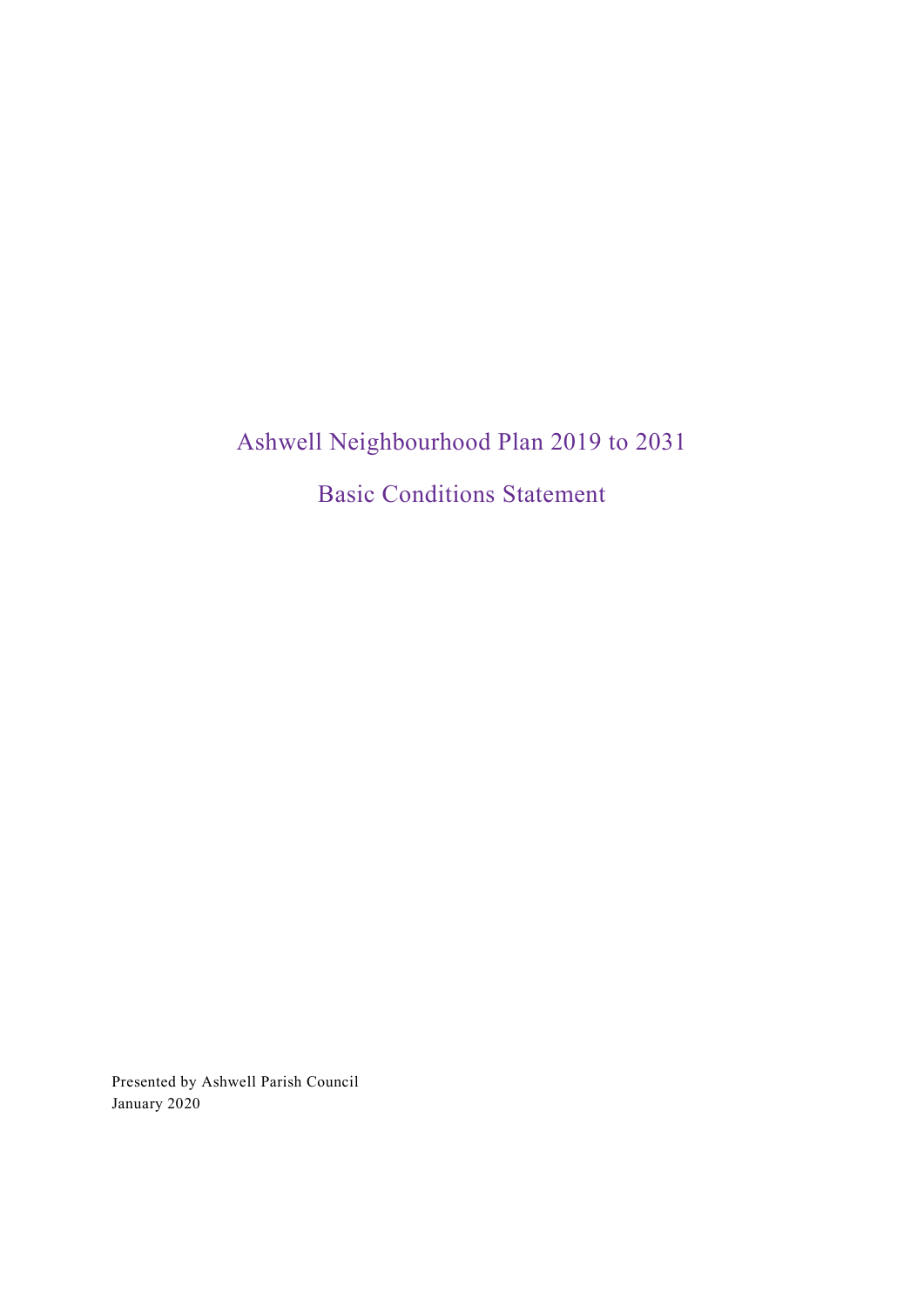# Ashwell Neighbourhood Plan 2019 to 2031

Basic Conditions Statement

Presented by Ashwell Parish Council January 2020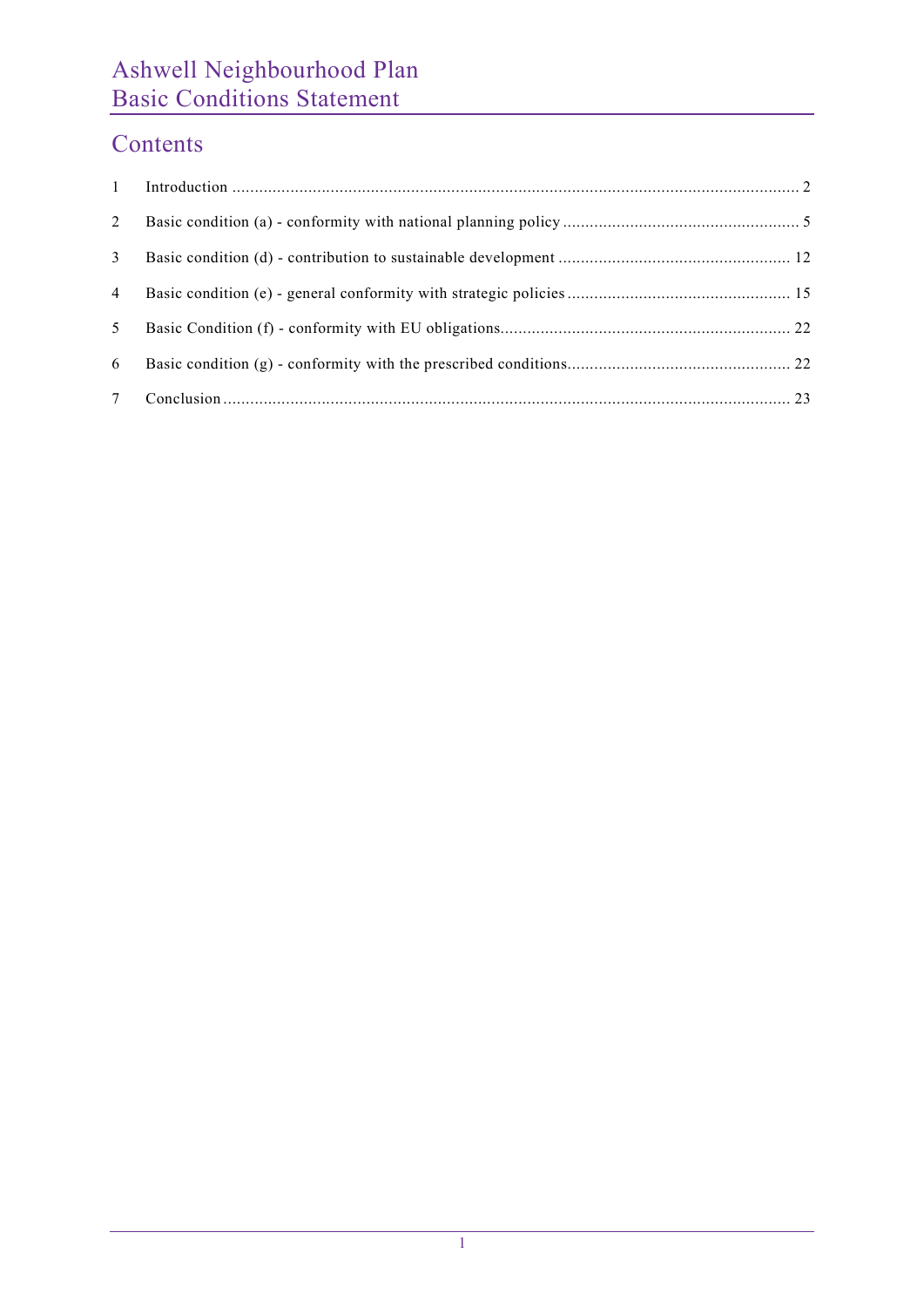## Contents

| 2              |  |
|----------------|--|
| 3              |  |
| $\overline{4}$ |  |
| 5              |  |
| 6              |  |
| $7\degree$     |  |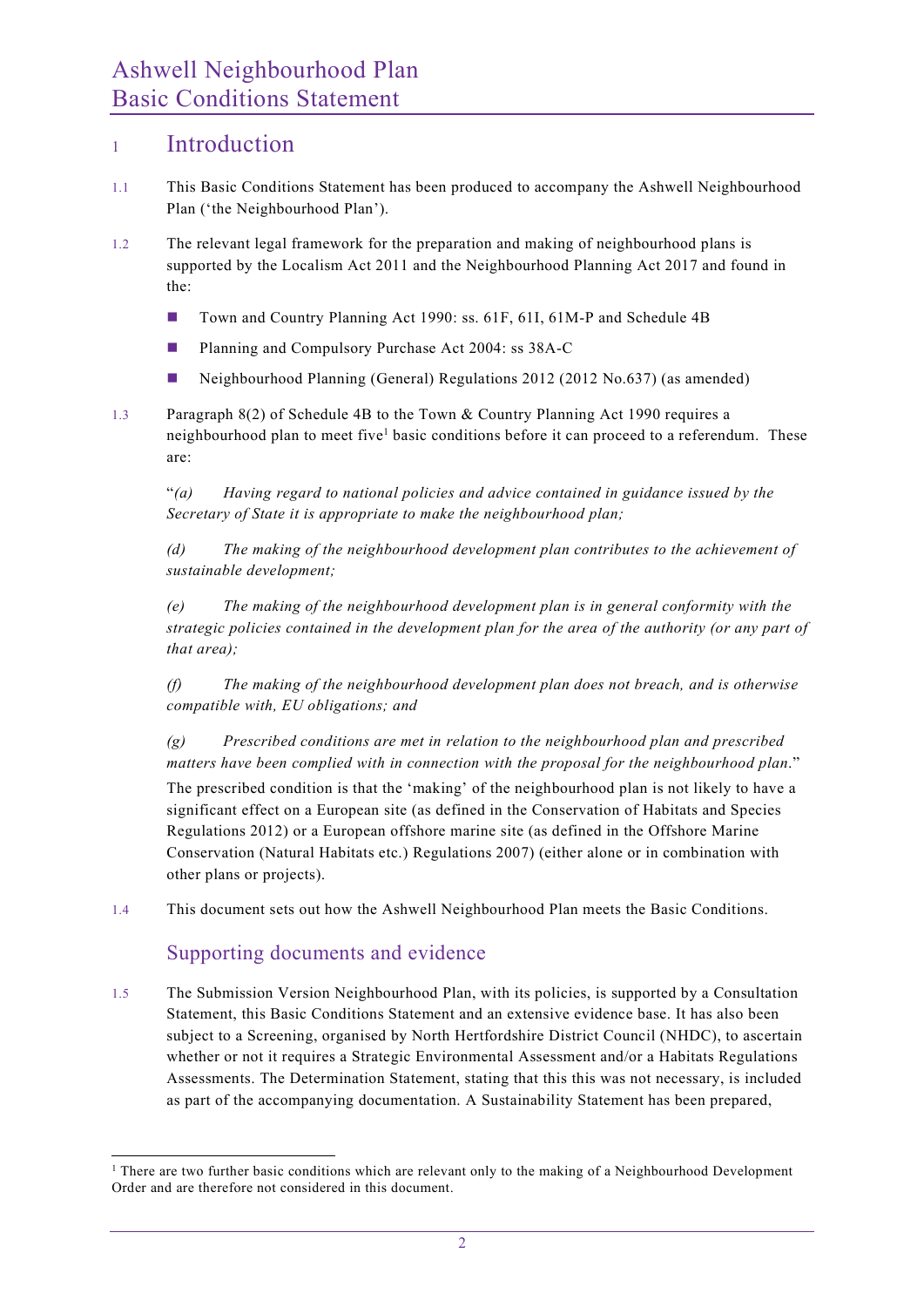#### <sup>1</sup> Introduction

- 1.1 This Basic Conditions Statement has been produced to accompany the Ashwell Neighbourhood Plan ('the Neighbourhood Plan').
- 1.2 The relevant legal framework for the preparation and making of neighbourhood plans is supported by the Localism Act 2011 and the Neighbourhood Planning Act 2017 and found in the:
	- Town and Country Planning Act 1990: ss. 61F, 61I, 61M-P and Schedule 4B
	- **Planning and Compulsory Purchase Act 2004: ss 38A-C**
	- Neighbourhood Planning (General) Regulations 2012 (2012 No.637) (as amended)
- 1.3 Paragraph 8(2) of Schedule 4B to the Town & Country Planning Act 1990 requires a neighbourhood plan to meet five<sup>1</sup> basic conditions before it can proceed to a referendum. These are:

"(a) Having regard to national policies and advice contained in guidance issued by the Secretary of State it is appropriate to make the neighbourhood plan;

(d) The making of the neighbourhood development plan contributes to the achievement of sustainable development;

(e) The making of the neighbourhood development plan is in general conformity with the strategic policies contained in the development plan for the area of the authority (or any part of that area);

(f) The making of the neighbourhood development plan does not breach, and is otherwise compatible with, EU obligations; and

 $(g)$  Prescribed conditions are met in relation to the neighbourhood plan and prescribed matters have been complied with in connection with the proposal for the neighbourhood plan." The prescribed condition is that the 'making' of the neighbourhood plan is not likely to have a significant effect on a European site (as defined in the Conservation of Habitats and Species Regulations 2012) or a European offshore marine site (as defined in the Offshore Marine Conservation (Natural Habitats etc.) Regulations 2007) (either alone or in combination with other plans or projects).

1.4 This document sets out how the Ashwell Neighbourhood Plan meets the Basic Conditions.

#### Supporting documents and evidence

1.5 The Submission Version Neighbourhood Plan, with its policies, is supported by a Consultation Statement, this Basic Conditions Statement and an extensive evidence base. It has also been subject to a Screening, organised by North Hertfordshire District Council (NHDC), to ascertain whether or not it requires a Strategic Environmental Assessment and/or a Habitats Regulations Assessments. The Determination Statement, stating that this this was not necessary, is included as part of the accompanying documentation. A Sustainability Statement has been prepared,

<sup>&</sup>lt;sup>1</sup> There are two further basic conditions which are relevant only to the making of a Neighbourhood Development Order and are therefore not considered in this document.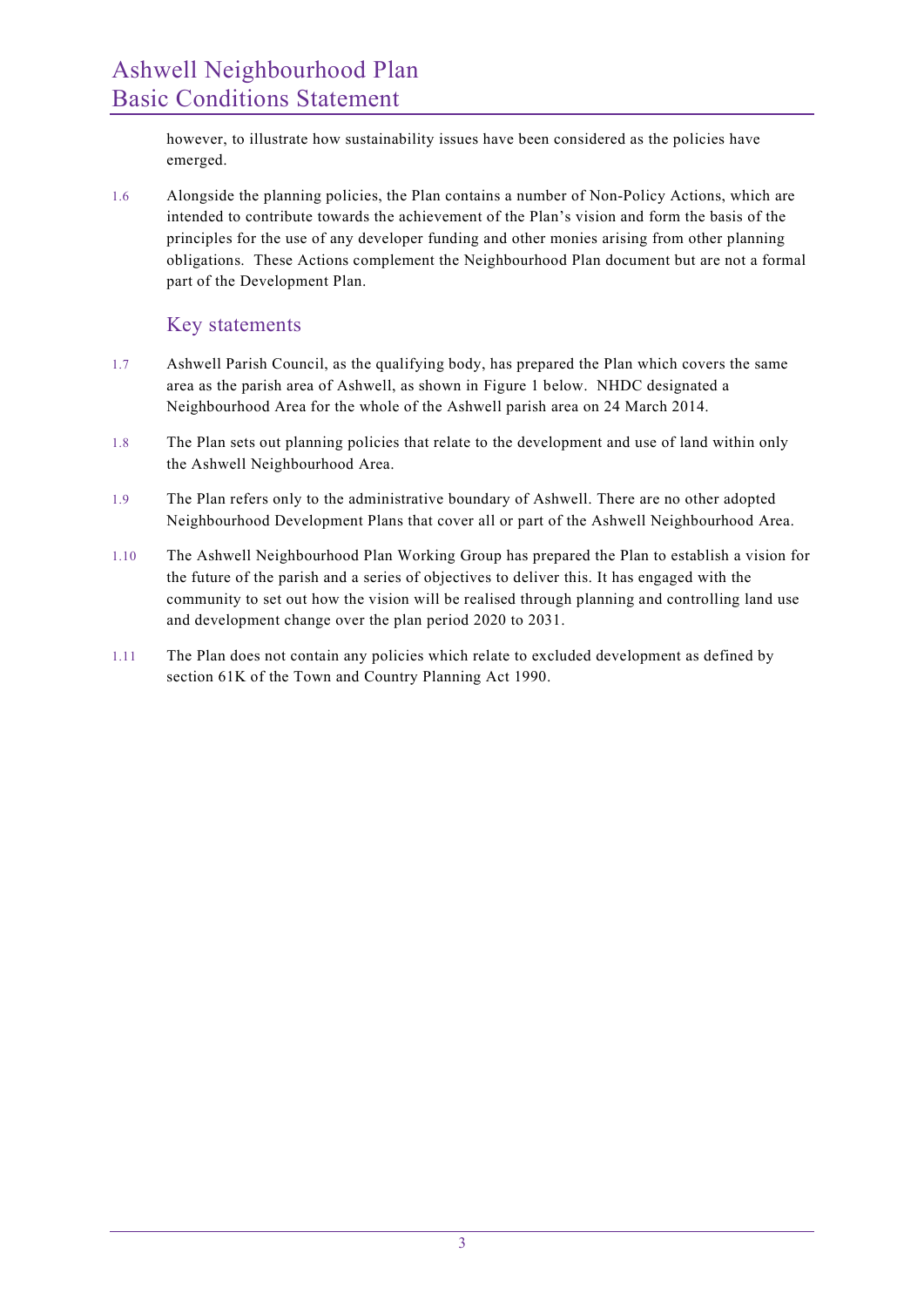however, to illustrate how sustainability issues have been considered as the policies have emerged.

1.6 Alongside the planning policies, the Plan contains a number of Non-Policy Actions, which are intended to contribute towards the achievement of the Plan's vision and form the basis of the principles for the use of any developer funding and other monies arising from other planning obligations. These Actions complement the Neighbourhood Plan document but are not a formal part of the Development Plan.

#### Key statements

- 1.7 Ashwell Parish Council, as the qualifying body, has prepared the Plan which covers the same area as the parish area of Ashwell, as shown in Figure 1 below. NHDC designated a Neighbourhood Area for the whole of the Ashwell parish area on 24 March 2014.
- 1.8 The Plan sets out planning policies that relate to the development and use of land within only the Ashwell Neighbourhood Area.
- 1.9 The Plan refers only to the administrative boundary of Ashwell. There are no other adopted Neighbourhood Development Plans that cover all or part of the Ashwell Neighbourhood Area.
- 1.10 The Ashwell Neighbourhood Plan Working Group has prepared the Plan to establish a vision for the future of the parish and a series of objectives to deliver this. It has engaged with the community to set out how the vision will be realised through planning and controlling land use and development change over the plan period 2020 to 2031.
- 1.11 The Plan does not contain any policies which relate to excluded development as defined by section 61K of the Town and Country Planning Act 1990.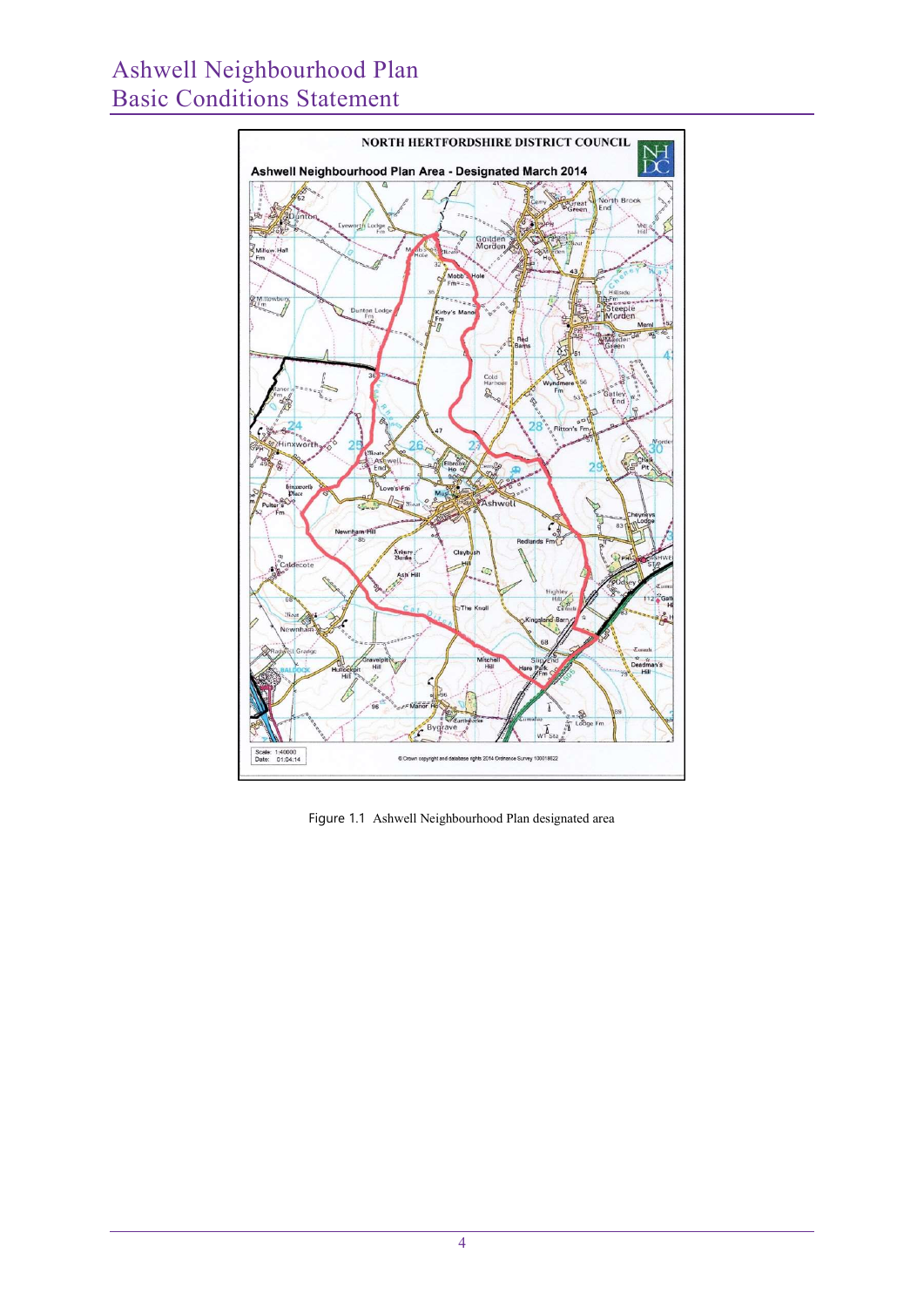

Figure 1.1 Ashwell Neighbourhood Plan designated area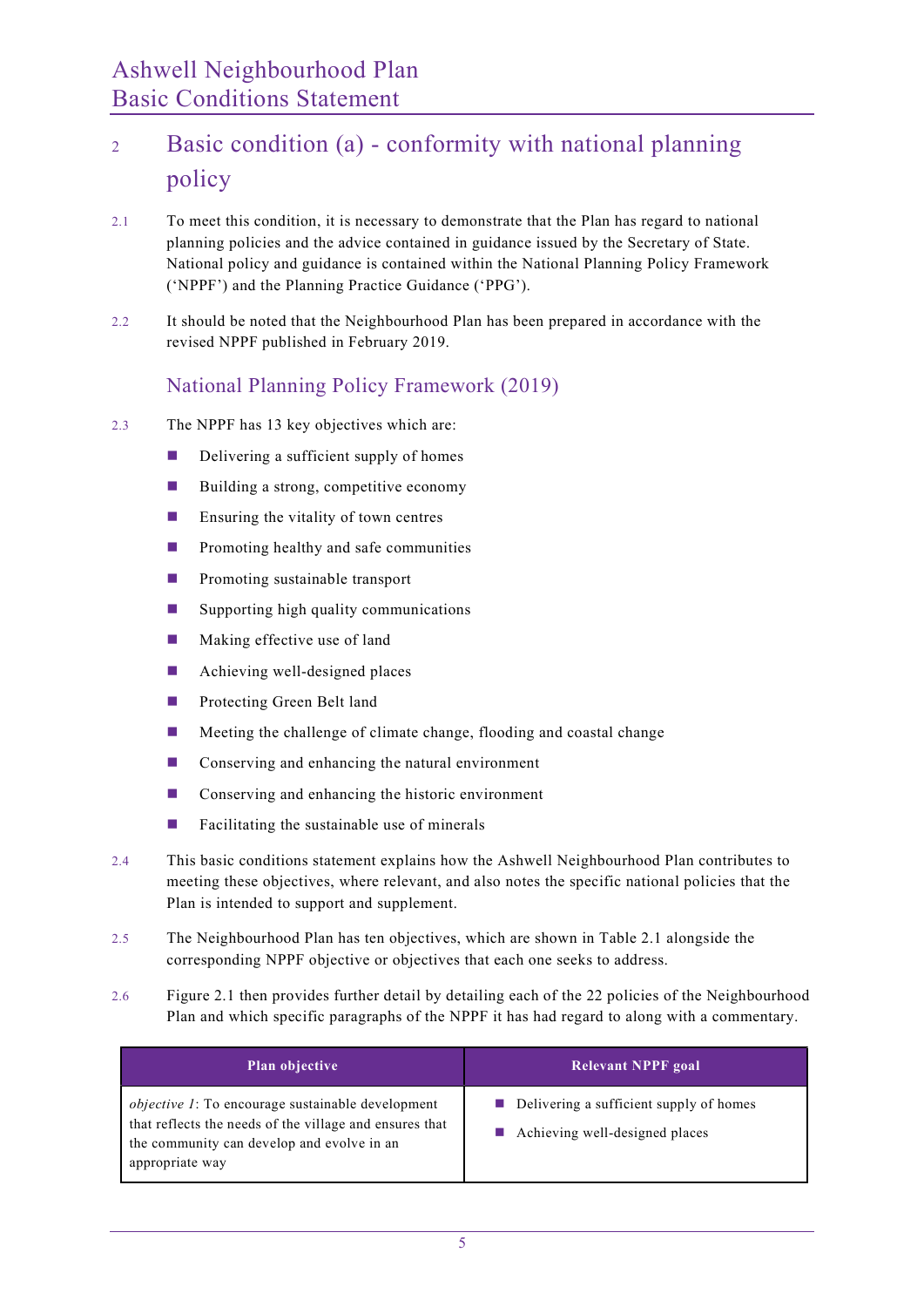## <sup>2</sup> Basic condition (a) - conformity with national planning policy

- 2.1 To meet this condition, it is necessary to demonstrate that the Plan has regard to national planning policies and the advice contained in guidance issued by the Secretary of State. National policy and guidance is contained within the National Planning Policy Framework ('NPPF') and the Planning Practice Guidance ('PPG').
- 2.2 It should be noted that the Neighbourhood Plan has been prepared in accordance with the revised NPPF published in February 2019.

#### National Planning Policy Framework (2019)

- 2.3 The NPPF has 13 key objectives which are:
	- $\Box$  Delivering a sufficient supply of homes
	- Building a strong, competitive economy
	- $\blacksquare$  Ensuring the vitality of town centres
	- **Promoting healthy and safe communities**
	- **Promoting sustainable transport**
	- **Supporting high quality communications**
	- $\blacksquare$  Making effective use of land
	- **Achieving well-designed places**
	- **Protecting Green Belt land**
	- $\blacksquare$  Meeting the challenge of climate change, flooding and coastal change
	- Conserving and enhancing the natural environment
	- Conserving and enhancing the historic environment
	- $\blacksquare$  Facilitating the sustainable use of minerals
- 2.4 This basic conditions statement explains how the Ashwell Neighbourhood Plan contributes to meeting these objectives, where relevant, and also notes the specific national policies that the Plan is intended to support and supplement.
- 2.5 The Neighbourhood Plan has ten objectives, which are shown in Table 2.1 alongside the corresponding NPPF objective or objectives that each one seeks to address.
- 2.6 Figure 2.1 then provides further detail by detailing each of the 22 policies of the Neighbourhood Plan and which specific paragraphs of the NPPF it has had regard to along with a commentary.

| <b>Plan objective</b>                                                                                                                                                                 | Relevant NPPF goal                                                                       |
|---------------------------------------------------------------------------------------------------------------------------------------------------------------------------------------|------------------------------------------------------------------------------------------|
| <i>objective 1</i> : To encourage sustainable development<br>that reflects the needs of the village and ensures that<br>the community can develop and evolve in an<br>appropriate way | $\blacksquare$ Delivering a sufficient supply of homes<br>Achieving well-designed places |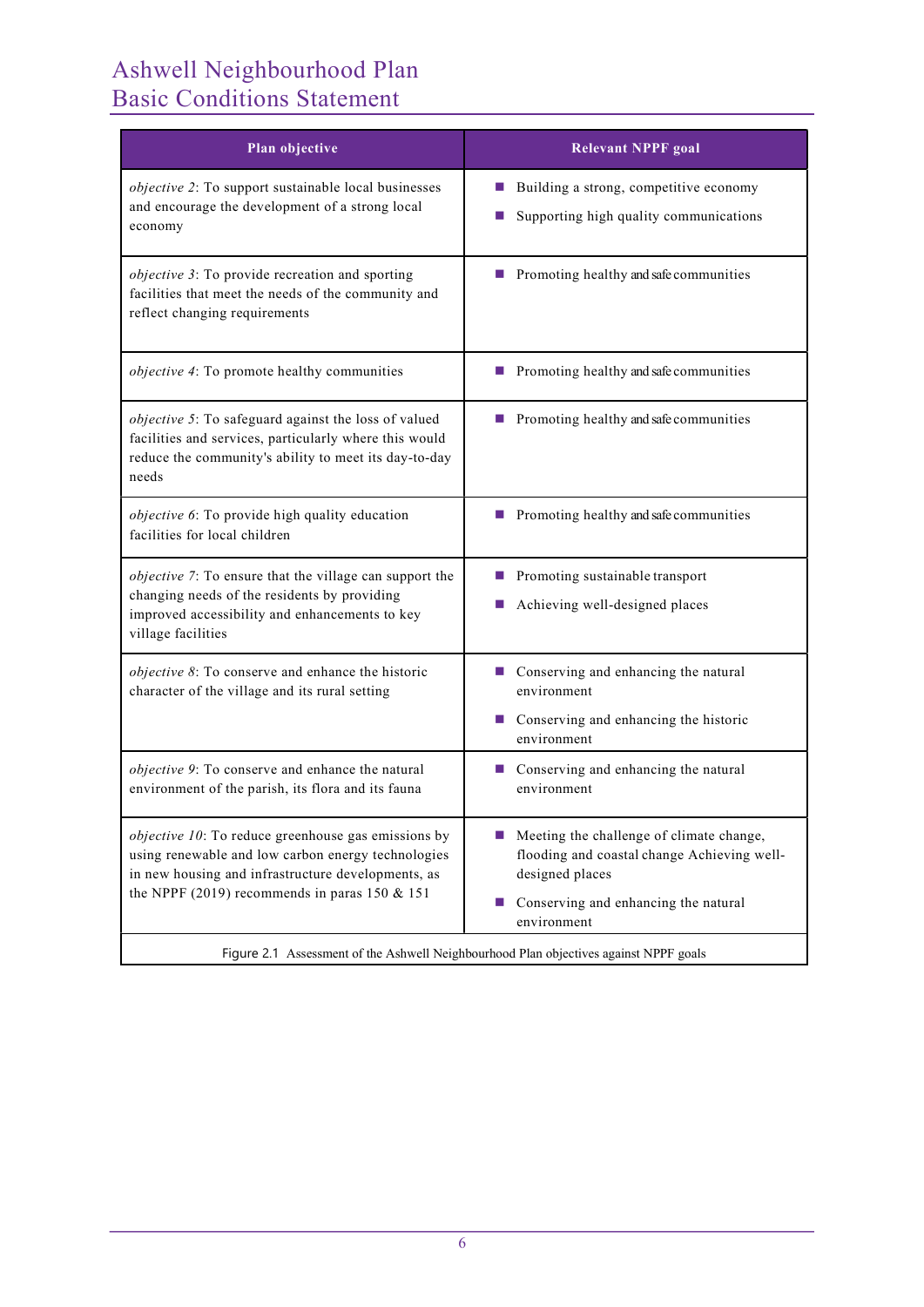| Plan objective                                                                                                                                                                                                           | <b>Relevant NPPF goal</b>                                                                                                                               |  |  |
|--------------------------------------------------------------------------------------------------------------------------------------------------------------------------------------------------------------------------|---------------------------------------------------------------------------------------------------------------------------------------------------------|--|--|
| objective 2: To support sustainable local businesses<br>and encourage the development of a strong local<br>economy                                                                                                       | Building a strong, competitive economy<br><b>Contract</b><br>Supporting high quality communications                                                     |  |  |
| objective 3: To provide recreation and sporting<br>facilities that meet the needs of the community and<br>reflect changing requirements                                                                                  | $\blacksquare$ Promoting healthy and safe communities                                                                                                   |  |  |
| objective 4: To promote healthy communities                                                                                                                                                                              | $\blacksquare$ Promoting healthy and safe communities                                                                                                   |  |  |
| objective 5: To safeguard against the loss of valued<br>facilities and services, particularly where this would<br>reduce the community's ability to meet its day-to-day<br>needs                                         | $\blacksquare$ Promoting healthy and safe communities                                                                                                   |  |  |
| objective 6: To provide high quality education<br>facilities for local children                                                                                                                                          | $\blacksquare$ Promoting healthy and safe communities                                                                                                   |  |  |
| objective 7: To ensure that the village can support the<br>changing needs of the residents by providing<br>improved accessibility and enhancements to key<br>village facilities                                          | Promoting sustainable transport<br><b>Contract</b><br>Achieving well-designed places                                                                    |  |  |
| objective 8: To conserve and enhance the historic<br>character of the village and its rural setting                                                                                                                      | ■ Conserving and enhancing the natural<br>environment<br>■ Conserving and enhancing the historic<br>environment                                         |  |  |
| objective 9: To conserve and enhance the natural<br>environment of the parish, its flora and its fauna                                                                                                                   | Conserving and enhancing the natural<br>environment                                                                                                     |  |  |
| <i>objective 10</i> : To reduce greenhouse gas emissions by<br>using renewable and low carbon energy technologies<br>in new housing and infrastructure developments, as<br>the NPPF (2019) recommends in paras 150 & 151 | Meeting the challenge of climate change,<br>flooding and coastal change Achieving well-<br>designed places<br>Conserving and enhancing the natural<br>ш |  |  |
| environment<br>Figure 2.1 Assessment of the Ashwell Neighbourhood Plan objectives against NPPF goals                                                                                                                     |                                                                                                                                                         |  |  |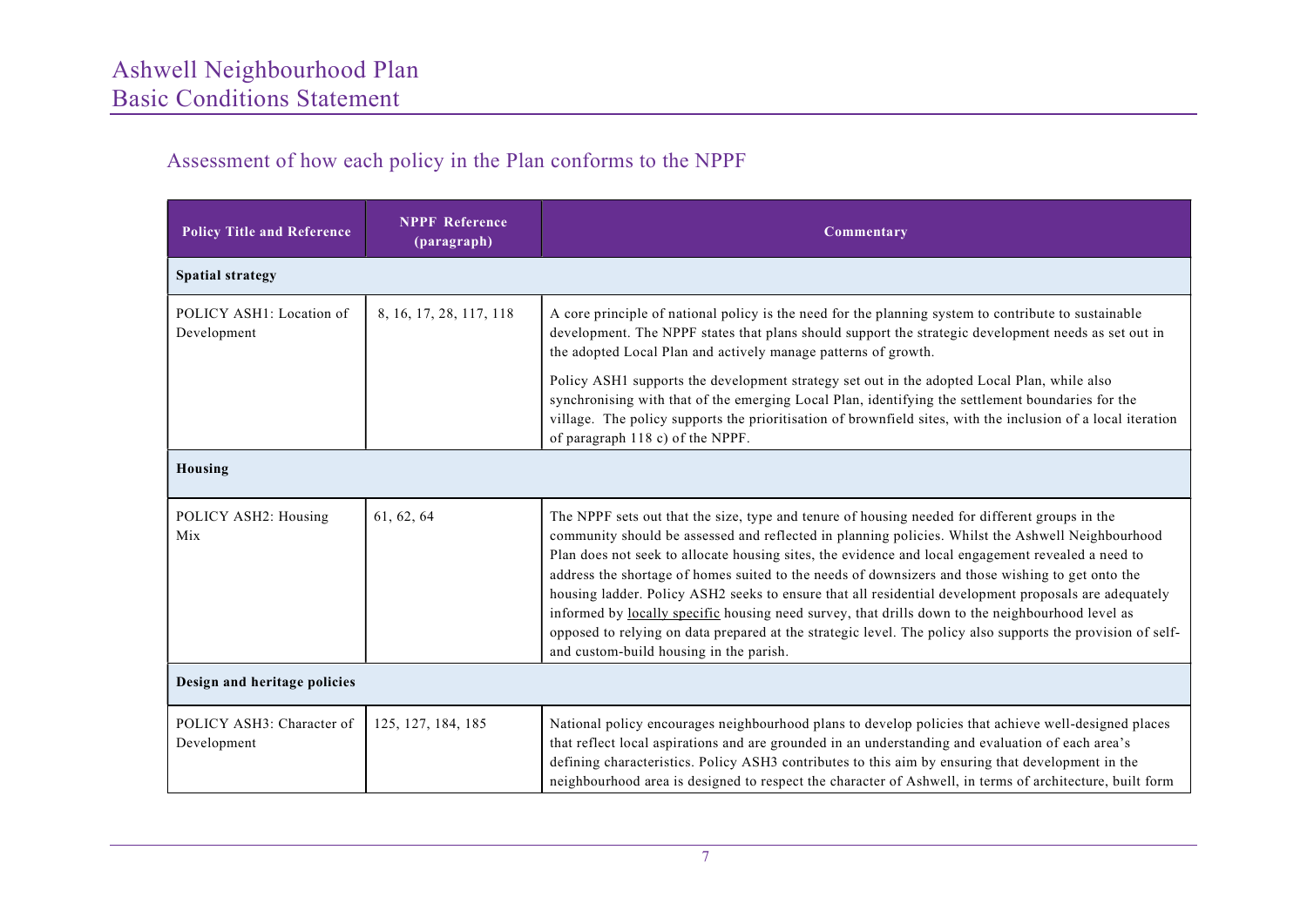### Assessment of how each policy in the Plan conforms to the NPPF

| <b>Policy Title and Reference</b>        | <b>NPPF Reference</b><br>(paragraph) | Commentary                                                                                                                                                                                                                                                                                                                                                                                                                                                                                                                                                                                                                                                                                                                                                                            |  |  |
|------------------------------------------|--------------------------------------|---------------------------------------------------------------------------------------------------------------------------------------------------------------------------------------------------------------------------------------------------------------------------------------------------------------------------------------------------------------------------------------------------------------------------------------------------------------------------------------------------------------------------------------------------------------------------------------------------------------------------------------------------------------------------------------------------------------------------------------------------------------------------------------|--|--|
| <b>Spatial strategy</b>                  |                                      |                                                                                                                                                                                                                                                                                                                                                                                                                                                                                                                                                                                                                                                                                                                                                                                       |  |  |
| POLICY ASH1: Location of<br>Development  | 8, 16, 17, 28, 117, 118              | A core principle of national policy is the need for the planning system to contribute to sustainable<br>development. The NPPF states that plans should support the strategic development needs as set out in<br>the adopted Local Plan and actively manage patterns of growth.<br>Policy ASH1 supports the development strategy set out in the adopted Local Plan, while also<br>synchronising with that of the emerging Local Plan, identifying the settlement boundaries for the<br>village. The policy supports the prioritisation of brownfield sites, with the inclusion of a local iteration<br>of paragraph 118 c) of the NPPF.                                                                                                                                                |  |  |
| Housing                                  |                                      |                                                                                                                                                                                                                                                                                                                                                                                                                                                                                                                                                                                                                                                                                                                                                                                       |  |  |
| POLICY ASH2: Housing<br>Mix              | 61, 62, 64                           | The NPPF sets out that the size, type and tenure of housing needed for different groups in the<br>community should be assessed and reflected in planning policies. Whilst the Ashwell Neighbourhood<br>Plan does not seek to allocate housing sites, the evidence and local engagement revealed a need to<br>address the shortage of homes suited to the needs of downsizers and those wishing to get onto the<br>housing ladder. Policy ASH2 seeks to ensure that all residential development proposals are adequately<br>informed by locally specific housing need survey, that drills down to the neighbourhood level as<br>opposed to relying on data prepared at the strategic level. The policy also supports the provision of self-<br>and custom-build housing in the parish. |  |  |
| Design and heritage policies             |                                      |                                                                                                                                                                                                                                                                                                                                                                                                                                                                                                                                                                                                                                                                                                                                                                                       |  |  |
| POLICY ASH3: Character of<br>Development | 125, 127, 184, 185                   | National policy encourages neighbourhood plans to develop policies that achieve well-designed places<br>that reflect local aspirations and are grounded in an understanding and evaluation of each area's<br>defining characteristics. Policy ASH3 contributes to this aim by ensuring that development in the<br>neighbourhood area is designed to respect the character of Ashwell, in terms of architecture, built form                                                                                                                                                                                                                                                                                                                                                            |  |  |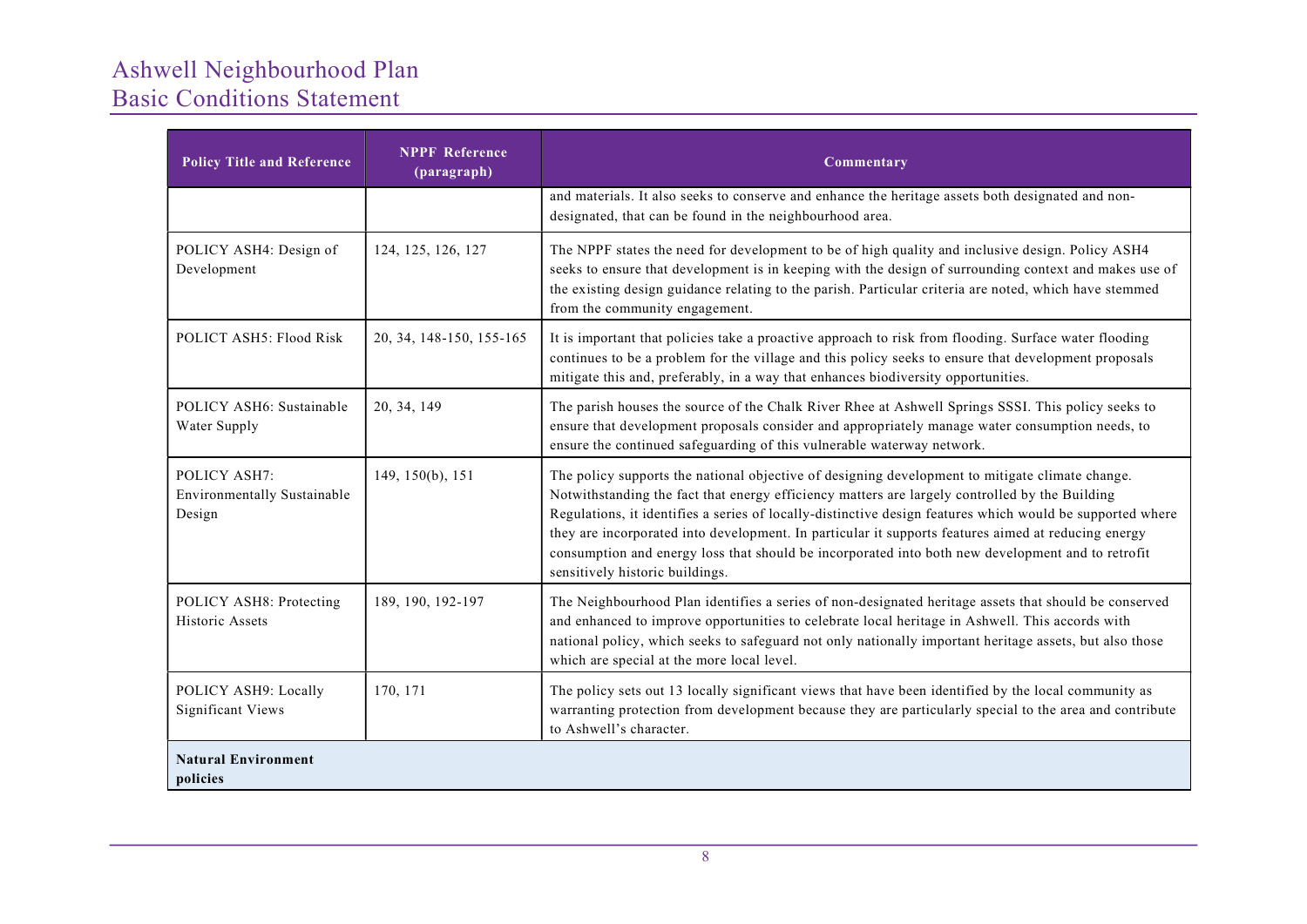| <b>Policy Title and Reference</b>                            | <b>NPPF Reference</b><br>(paragraph) | Commentary                                                                                                                                                                                                                                                                                                                                                                                                                                                                                                                                                    |  |
|--------------------------------------------------------------|--------------------------------------|---------------------------------------------------------------------------------------------------------------------------------------------------------------------------------------------------------------------------------------------------------------------------------------------------------------------------------------------------------------------------------------------------------------------------------------------------------------------------------------------------------------------------------------------------------------|--|
|                                                              |                                      | and materials. It also seeks to conserve and enhance the heritage assets both designated and non-<br>designated, that can be found in the neighbourhood area.                                                                                                                                                                                                                                                                                                                                                                                                 |  |
| POLICY ASH4: Design of<br>Development                        | 124, 125, 126, 127                   | The NPPF states the need for development to be of high quality and inclusive design. Policy ASH4<br>seeks to ensure that development is in keeping with the design of surrounding context and makes use of<br>the existing design guidance relating to the parish. Particular criteria are noted, which have stemmed<br>from the community engagement.                                                                                                                                                                                                        |  |
| POLICT ASH5: Flood Risk                                      | 20, 34, 148-150, 155-165             | It is important that policies take a proactive approach to risk from flooding. Surface water flooding<br>continues to be a problem for the village and this policy seeks to ensure that development proposals<br>mitigate this and, preferably, in a way that enhances biodiversity opportunities.                                                                                                                                                                                                                                                            |  |
| POLICY ASH6: Sustainable<br>Water Supply                     | 20, 34, 149                          | The parish houses the source of the Chalk River Rhee at Ashwell Springs SSSI. This policy seeks to<br>ensure that development proposals consider and appropriately manage water consumption needs, to<br>ensure the continued safeguarding of this vulnerable waterway network.                                                                                                                                                                                                                                                                               |  |
| POLICY ASH7:<br><b>Environmentally Sustainable</b><br>Design | 149, 150(b), 151                     | The policy supports the national objective of designing development to mitigate climate change.<br>Notwithstanding the fact that energy efficiency matters are largely controlled by the Building<br>Regulations, it identifies a series of locally-distinctive design features which would be supported where<br>they are incorporated into development. In particular it supports features aimed at reducing energy<br>consumption and energy loss that should be incorporated into both new development and to retrofit<br>sensitively historic buildings. |  |
| POLICY ASH8: Protecting<br>Historic Assets                   | 189, 190, 192-197                    | The Neighbourhood Plan identifies a series of non-designated heritage assets that should be conserved<br>and enhanced to improve opportunities to celebrate local heritage in Ashwell. This accords with<br>national policy, which seeks to safeguard not only nationally important heritage assets, but also those<br>which are special at the more local level.                                                                                                                                                                                             |  |
| POLICY ASH9: Locally<br><b>Significant Views</b>             | 170, 171                             | The policy sets out 13 locally significant views that have been identified by the local community as<br>warranting protection from development because they are particularly special to the area and contribute<br>to Ashwell's character.                                                                                                                                                                                                                                                                                                                    |  |
| <b>Natural Environment</b><br>policies                       |                                      |                                                                                                                                                                                                                                                                                                                                                                                                                                                                                                                                                               |  |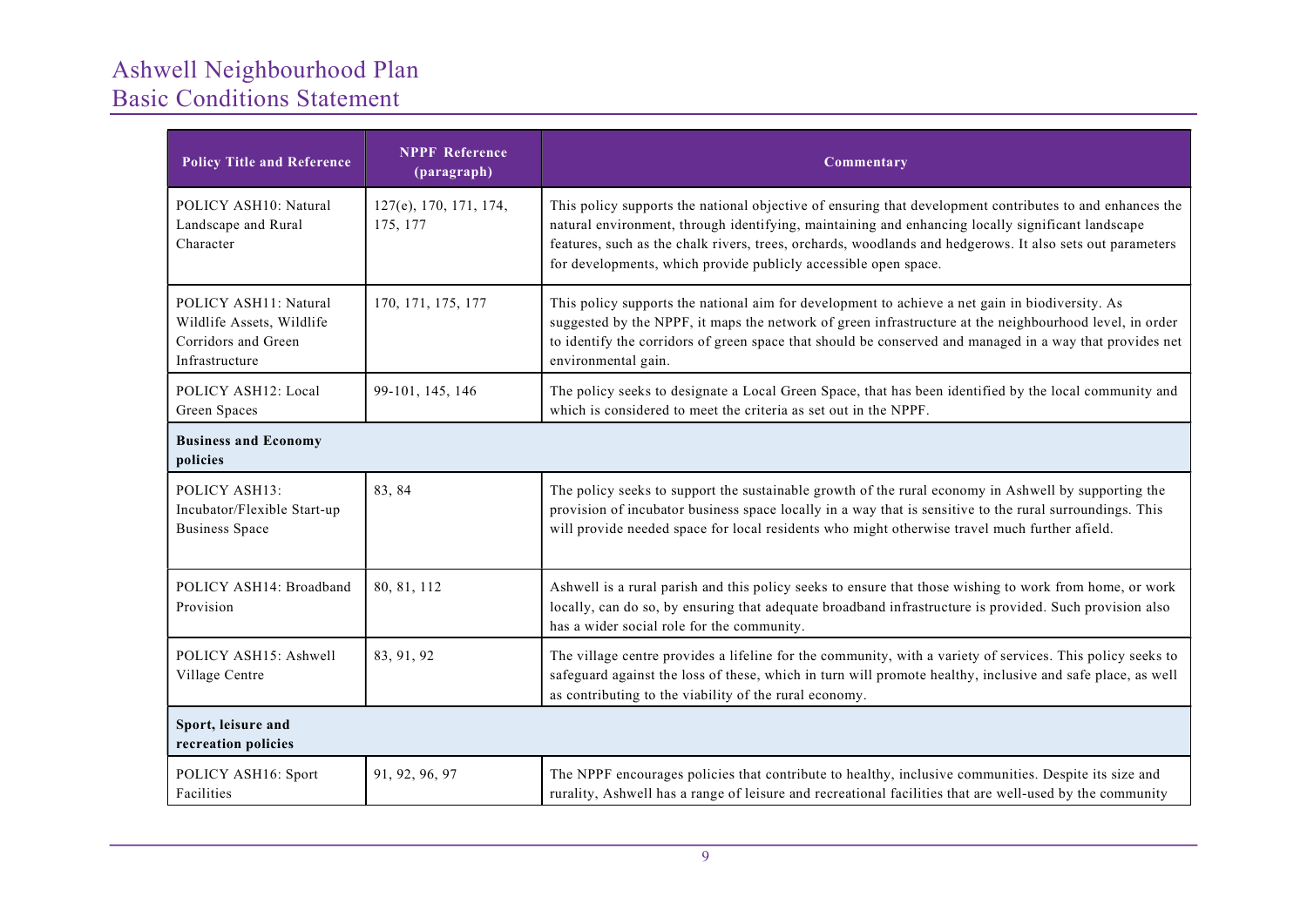| <b>Policy Title and Reference</b>                                                           | <b>NPPF Reference</b><br>(paragraph) | Commentary                                                                                                                                                                                                                                                                                                                                                                                    |  |
|---------------------------------------------------------------------------------------------|--------------------------------------|-----------------------------------------------------------------------------------------------------------------------------------------------------------------------------------------------------------------------------------------------------------------------------------------------------------------------------------------------------------------------------------------------|--|
| POLICY ASH10: Natural<br>Landscape and Rural<br>Character                                   | 127(e), 170, 171, 174,<br>175, 177   | This policy supports the national objective of ensuring that development contributes to and enhances the<br>natural environment, through identifying, maintaining and enhancing locally significant landscape<br>features, such as the chalk rivers, trees, orchards, woodlands and hedgerows. It also sets out parameters<br>for developments, which provide publicly accessible open space. |  |
| POLICY ASH11: Natural<br>Wildlife Assets, Wildlife<br>Corridors and Green<br>Infrastructure | 170, 171, 175, 177                   | This policy supports the national aim for development to achieve a net gain in biodiversity. As<br>suggested by the NPPF, it maps the network of green infrastructure at the neighbourhood level, in order<br>to identify the corridors of green space that should be conserved and managed in a way that provides net<br>environmental gain.                                                 |  |
| POLICY ASH12: Local<br>Green Spaces                                                         | 99-101, 145, 146                     | The policy seeks to designate a Local Green Space, that has been identified by the local community and<br>which is considered to meet the criteria as set out in the NPPF.                                                                                                                                                                                                                    |  |
| <b>Business and Economy</b><br>policies                                                     |                                      |                                                                                                                                                                                                                                                                                                                                                                                               |  |
| POLICY ASH13:<br>Incubator/Flexible Start-up<br><b>Business Space</b>                       | 83, 84                               | The policy seeks to support the sustainable growth of the rural economy in Ashwell by supporting the<br>provision of incubator business space locally in a way that is sensitive to the rural surroundings. This<br>will provide needed space for local residents who might otherwise travel much further afield.                                                                             |  |
| POLICY ASH14: Broadband<br>Provision                                                        | 80, 81, 112                          | Ashwell is a rural parish and this policy seeks to ensure that those wishing to work from home, or work<br>locally, can do so, by ensuring that adequate broadband infrastructure is provided. Such provision also<br>has a wider social role for the community.                                                                                                                              |  |
| POLICY ASH15: Ashwell<br>Village Centre                                                     | 83, 91, 92                           | The village centre provides a lifeline for the community, with a variety of services. This policy seeks to<br>safeguard against the loss of these, which in turn will promote healthy, inclusive and safe place, as well<br>as contributing to the viability of the rural economy.                                                                                                            |  |
| Sport, leisure and<br>recreation policies                                                   |                                      |                                                                                                                                                                                                                                                                                                                                                                                               |  |
| POLICY ASH16: Sport<br>Facilities                                                           | 91, 92, 96, 97                       | The NPPF encourages policies that contribute to healthy, inclusive communities. Despite its size and<br>rurality, Ashwell has a range of leisure and recreational facilities that are well-used by the community                                                                                                                                                                              |  |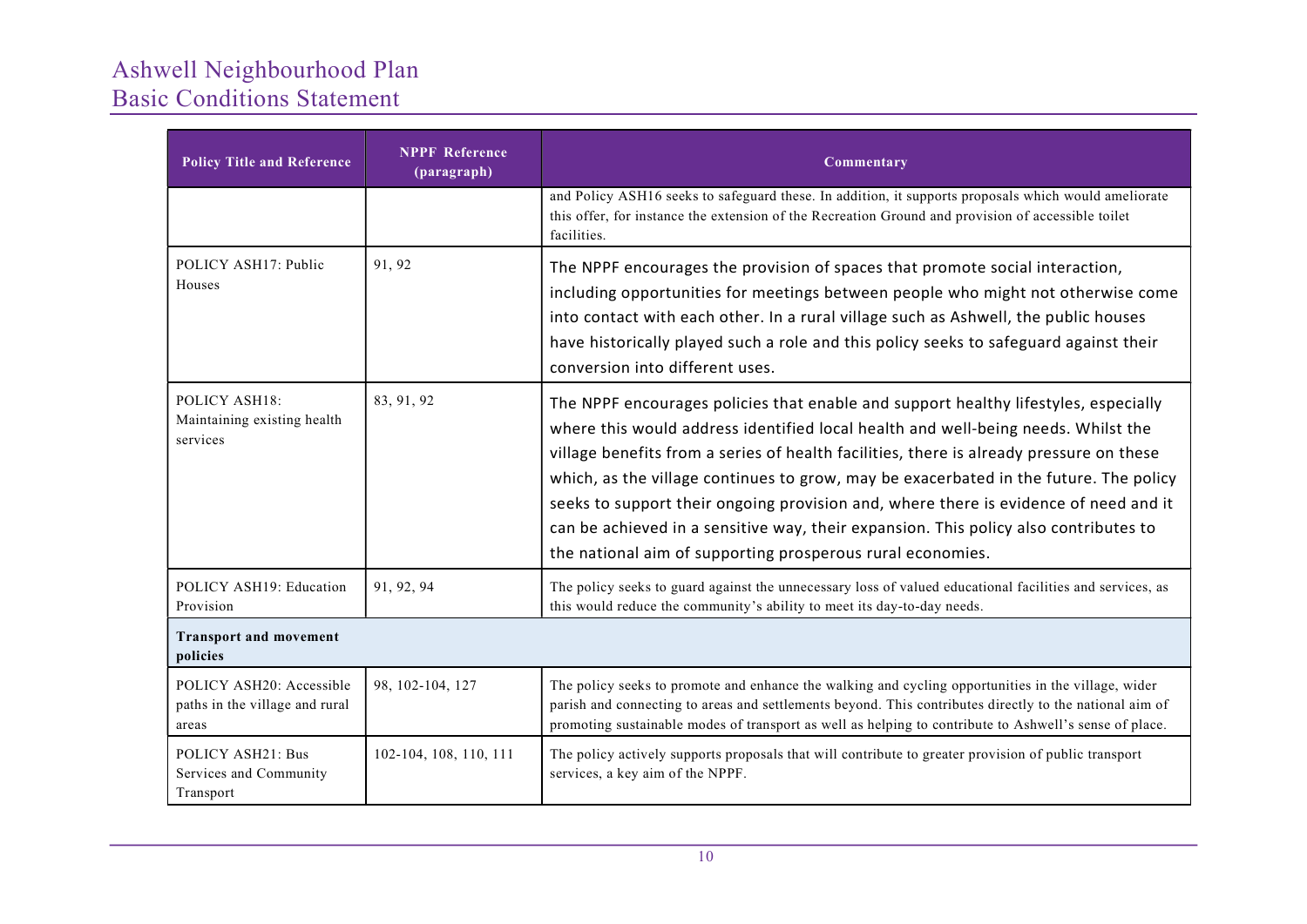| <b>Policy Title and Reference</b>                                                                                      | <b>NPPF Reference</b><br>(paragraph) | Commentary                                                                                                                                                                                                                                                                                                                                                                                                                                                                                                                                                                                                 |  |
|------------------------------------------------------------------------------------------------------------------------|--------------------------------------|------------------------------------------------------------------------------------------------------------------------------------------------------------------------------------------------------------------------------------------------------------------------------------------------------------------------------------------------------------------------------------------------------------------------------------------------------------------------------------------------------------------------------------------------------------------------------------------------------------|--|
|                                                                                                                        |                                      | and Policy ASH16 seeks to safeguard these. In addition, it supports proposals which would ameliorate<br>this offer, for instance the extension of the Recreation Ground and provision of accessible toilet<br>facilities.                                                                                                                                                                                                                                                                                                                                                                                  |  |
| POLICY ASH17: Public<br>Houses                                                                                         | 91, 92                               | The NPPF encourages the provision of spaces that promote social interaction,<br>including opportunities for meetings between people who might not otherwise come<br>into contact with each other. In a rural village such as Ashwell, the public houses<br>have historically played such a role and this policy seeks to safeguard against their<br>conversion into different uses.                                                                                                                                                                                                                        |  |
| POLICY ASH18:<br>Maintaining existing health<br>services                                                               | 83, 91, 92                           | The NPPF encourages policies that enable and support healthy lifestyles, especially<br>where this would address identified local health and well-being needs. Whilst the<br>village benefits from a series of health facilities, there is already pressure on these<br>which, as the village continues to grow, may be exacerbated in the future. The policy<br>seeks to support their ongoing provision and, where there is evidence of need and it<br>can be achieved in a sensitive way, their expansion. This policy also contributes to<br>the national aim of supporting prosperous rural economies. |  |
| POLICY ASH19: Education<br>Provision                                                                                   | 91, 92, 94                           | The policy seeks to guard against the unnecessary loss of valued educational facilities and services, as<br>this would reduce the community's ability to meet its day-to-day needs.                                                                                                                                                                                                                                                                                                                                                                                                                        |  |
| <b>Transport and movement</b><br>policies                                                                              |                                      |                                                                                                                                                                                                                                                                                                                                                                                                                                                                                                                                                                                                            |  |
| POLICY ASH20: Accessible<br>paths in the village and rural<br>areas                                                    | 98, 102-104, 127                     | The policy seeks to promote and enhance the walking and cycling opportunities in the village, wider<br>parish and connecting to areas and settlements beyond. This contributes directly to the national aim of<br>promoting sustainable modes of transport as well as helping to contribute to Ashwell's sense of place.                                                                                                                                                                                                                                                                                   |  |
| 102-104, 108, 110, 111<br>POLICY ASH21: Bus<br>Services and Community<br>services, a key aim of the NPPF.<br>Transport |                                      | The policy actively supports proposals that will contribute to greater provision of public transport                                                                                                                                                                                                                                                                                                                                                                                                                                                                                                       |  |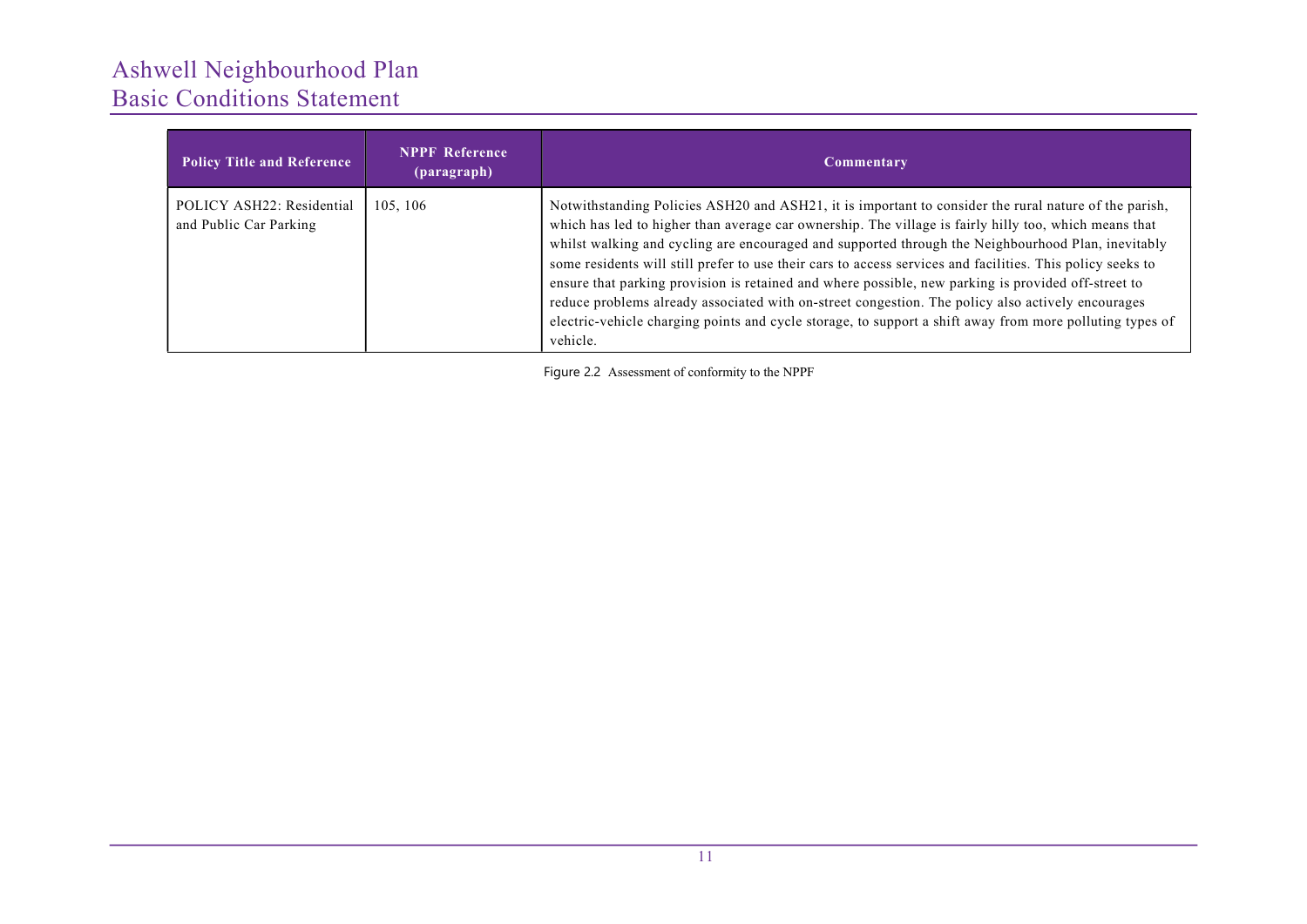| <b>Policy Title and Reference</b>                   | <b>NPPF Reference</b><br>(paragraph) | Commentary                                                                                                                                                                                                                                                                                                                                                                                                                                                                                                                                                                                                                                                                                                                                                             |
|-----------------------------------------------------|--------------------------------------|------------------------------------------------------------------------------------------------------------------------------------------------------------------------------------------------------------------------------------------------------------------------------------------------------------------------------------------------------------------------------------------------------------------------------------------------------------------------------------------------------------------------------------------------------------------------------------------------------------------------------------------------------------------------------------------------------------------------------------------------------------------------|
| POLICY ASH22: Residential<br>and Public Car Parking | 105, 106                             | Notwithstanding Policies ASH20 and ASH21, it is important to consider the rural nature of the parish,<br>which has led to higher than average car ownership. The village is fairly hilly too, which means that<br>whilst walking and cycling are encouraged and supported through the Neighbourhood Plan, inevitably<br>some residents will still prefer to use their cars to access services and facilities. This policy seeks to<br>ensure that parking provision is retained and where possible, new parking is provided off-street to<br>reduce problems already associated with on-street congestion. The policy also actively encourages<br>electric-vehicle charging points and cycle storage, to support a shift away from more polluting types of<br>vehicle. |

Figure 2.2 Assessment of conformity to the NPPF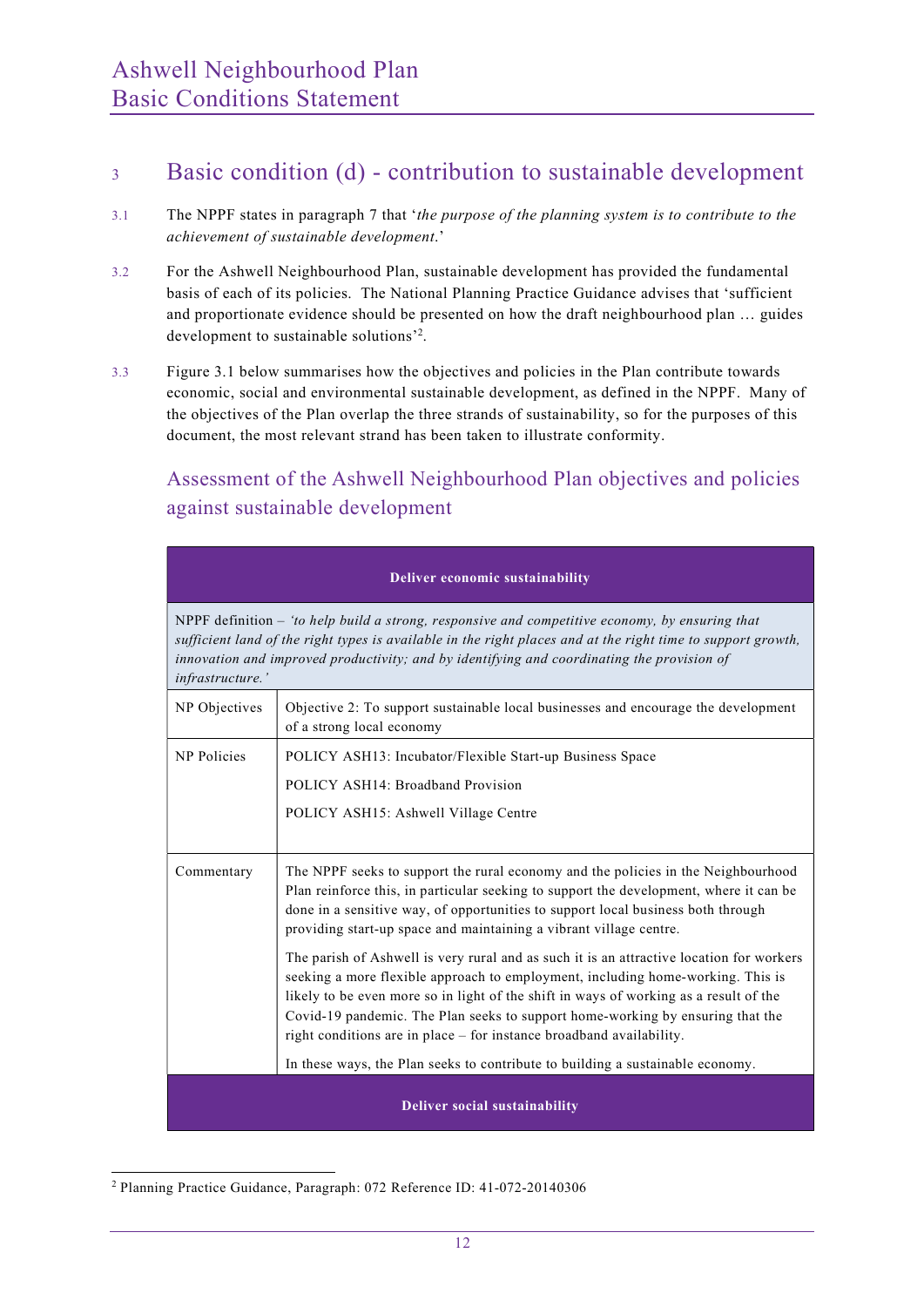### <sup>3</sup> Basic condition (d) - contribution to sustainable development

- 3.1 The NPPF states in paragraph 7 that 'the purpose of the planning system is to contribute to the achievement of sustainable development.'
- 3.2 For the Ashwell Neighbourhood Plan, sustainable development has provided the fundamental basis of each of its policies. The National Planning Practice Guidance advises that 'sufficient and proportionate evidence should be presented on how the draft neighbourhood plan … guides development to sustainable solutions'<sup>2</sup> .
- 3.3 Figure 3.1 below summarises how the objectives and policies in the Plan contribute towards economic, social and environmental sustainable development, as defined in the NPPF. Many of the objectives of the Plan overlap the three strands of sustainability, so for the purposes of this document, the most relevant strand has been taken to illustrate conformity.

### Assessment of the Ashwell Neighbourhood Plan objectives and policies against sustainable development

| Deliver economic sustainability                                                                                                                             |                                                                                                                                                                                                                                                                                                                                                                                                                                                                                                                                                                                                                                                                                                                                                                                                                                                           |  |  |  |  |
|-------------------------------------------------------------------------------------------------------------------------------------------------------------|-----------------------------------------------------------------------------------------------------------------------------------------------------------------------------------------------------------------------------------------------------------------------------------------------------------------------------------------------------------------------------------------------------------------------------------------------------------------------------------------------------------------------------------------------------------------------------------------------------------------------------------------------------------------------------------------------------------------------------------------------------------------------------------------------------------------------------------------------------------|--|--|--|--|
| infrastructure.'                                                                                                                                            | NPPF definition - 'to help build a strong, responsive and competitive economy, by ensuring that<br>sufficient land of the right types is available in the right places and at the right time to support growth,<br>innovation and improved productivity; and by identifying and coordinating the provision of                                                                                                                                                                                                                                                                                                                                                                                                                                                                                                                                             |  |  |  |  |
| NP Objectives                                                                                                                                               | Objective 2: To support sustainable local businesses and encourage the development<br>of a strong local economy                                                                                                                                                                                                                                                                                                                                                                                                                                                                                                                                                                                                                                                                                                                                           |  |  |  |  |
| <b>NP</b> Policies<br>POLICY ASH13: Incubator/Flexible Start-up Business Space<br>POLICY ASH14: Broadband Provision<br>POLICY ASH15: Ashwell Village Centre |                                                                                                                                                                                                                                                                                                                                                                                                                                                                                                                                                                                                                                                                                                                                                                                                                                                           |  |  |  |  |
| Commentary                                                                                                                                                  | The NPPF seeks to support the rural economy and the policies in the Neighbourhood<br>Plan reinforce this, in particular seeking to support the development, where it can be<br>done in a sensitive way, of opportunities to support local business both through<br>providing start-up space and maintaining a vibrant village centre.<br>The parish of Ashwell is very rural and as such it is an attractive location for workers<br>seeking a more flexible approach to employment, including home-working. This is<br>likely to be even more so in light of the shift in ways of working as a result of the<br>Covid-19 pandemic. The Plan seeks to support home-working by ensuring that the<br>right conditions are in place - for instance broadband availability.<br>In these ways, the Plan seeks to contribute to building a sustainable economy. |  |  |  |  |
| <b>Deliver social sustainability</b>                                                                                                                        |                                                                                                                                                                                                                                                                                                                                                                                                                                                                                                                                                                                                                                                                                                                                                                                                                                                           |  |  |  |  |

<sup>2</sup> Planning Practice Guidance, Paragraph: 072 Reference ID: 41-072-20140306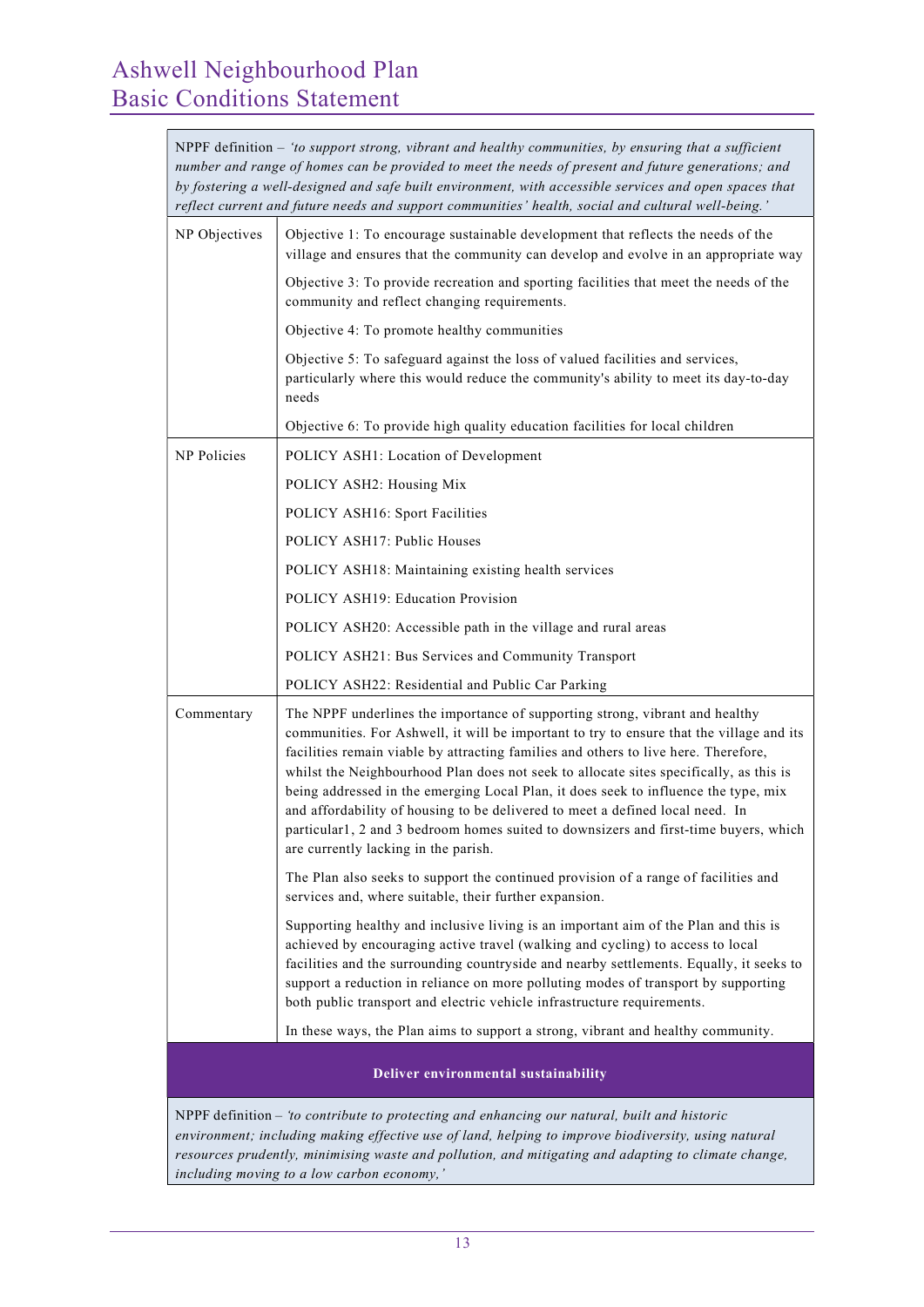| NPPF definition – 'to support strong, vibrant and healthy communities, by ensuring that a sufficient<br>number and range of homes can be provided to meet the needs of present and future generations; and<br>by fostering a well-designed and safe built environment, with accessible services and open spaces that<br>reflect current and future needs and support communities' health, social and cultural well-being.' |                                                                                                                                                                                                                                                                                                                                                                                                                                                                                                                                                                                                                                                                   |  |  |  |
|----------------------------------------------------------------------------------------------------------------------------------------------------------------------------------------------------------------------------------------------------------------------------------------------------------------------------------------------------------------------------------------------------------------------------|-------------------------------------------------------------------------------------------------------------------------------------------------------------------------------------------------------------------------------------------------------------------------------------------------------------------------------------------------------------------------------------------------------------------------------------------------------------------------------------------------------------------------------------------------------------------------------------------------------------------------------------------------------------------|--|--|--|
| NP Objectives                                                                                                                                                                                                                                                                                                                                                                                                              | Objective 1: To encourage sustainable development that reflects the needs of the<br>village and ensures that the community can develop and evolve in an appropriate way                                                                                                                                                                                                                                                                                                                                                                                                                                                                                           |  |  |  |
| Objective 3: To provide recreation and sporting facilities that meet the needs of the<br>community and reflect changing requirements.                                                                                                                                                                                                                                                                                      |                                                                                                                                                                                                                                                                                                                                                                                                                                                                                                                                                                                                                                                                   |  |  |  |
|                                                                                                                                                                                                                                                                                                                                                                                                                            | Objective 4: To promote healthy communities                                                                                                                                                                                                                                                                                                                                                                                                                                                                                                                                                                                                                       |  |  |  |
|                                                                                                                                                                                                                                                                                                                                                                                                                            | Objective 5: To safeguard against the loss of valued facilities and services,<br>particularly where this would reduce the community's ability to meet its day-to-day<br>needs                                                                                                                                                                                                                                                                                                                                                                                                                                                                                     |  |  |  |
|                                                                                                                                                                                                                                                                                                                                                                                                                            | Objective 6: To provide high quality education facilities for local children                                                                                                                                                                                                                                                                                                                                                                                                                                                                                                                                                                                      |  |  |  |
| NP Policies                                                                                                                                                                                                                                                                                                                                                                                                                | POLICY ASH1: Location of Development                                                                                                                                                                                                                                                                                                                                                                                                                                                                                                                                                                                                                              |  |  |  |
|                                                                                                                                                                                                                                                                                                                                                                                                                            | POLICY ASH2: Housing Mix                                                                                                                                                                                                                                                                                                                                                                                                                                                                                                                                                                                                                                          |  |  |  |
|                                                                                                                                                                                                                                                                                                                                                                                                                            | POLICY ASH16: Sport Facilities                                                                                                                                                                                                                                                                                                                                                                                                                                                                                                                                                                                                                                    |  |  |  |
|                                                                                                                                                                                                                                                                                                                                                                                                                            | POLICY ASH17: Public Houses                                                                                                                                                                                                                                                                                                                                                                                                                                                                                                                                                                                                                                       |  |  |  |
|                                                                                                                                                                                                                                                                                                                                                                                                                            | POLICY ASH18: Maintaining existing health services                                                                                                                                                                                                                                                                                                                                                                                                                                                                                                                                                                                                                |  |  |  |
|                                                                                                                                                                                                                                                                                                                                                                                                                            | POLICY ASH19: Education Provision                                                                                                                                                                                                                                                                                                                                                                                                                                                                                                                                                                                                                                 |  |  |  |
| POLICY ASH20: Accessible path in the village and rural areas                                                                                                                                                                                                                                                                                                                                                               |                                                                                                                                                                                                                                                                                                                                                                                                                                                                                                                                                                                                                                                                   |  |  |  |
|                                                                                                                                                                                                                                                                                                                                                                                                                            | POLICY ASH21: Bus Services and Community Transport                                                                                                                                                                                                                                                                                                                                                                                                                                                                                                                                                                                                                |  |  |  |
|                                                                                                                                                                                                                                                                                                                                                                                                                            | POLICY ASH22: Residential and Public Car Parking                                                                                                                                                                                                                                                                                                                                                                                                                                                                                                                                                                                                                  |  |  |  |
| Commentary                                                                                                                                                                                                                                                                                                                                                                                                                 | The NPPF underlines the importance of supporting strong, vibrant and healthy<br>communities. For Ashwell, it will be important to try to ensure that the village and its<br>facilities remain viable by attracting families and others to live here. Therefore,<br>whilst the Neighbourhood Plan does not seek to allocate sites specifically, as this is<br>being addressed in the emerging Local Plan, it does seek to influence the type, mix<br>and affordability of housing to be delivered to meet a defined local need. In<br>particular1, 2 and 3 bedroom homes suited to downsizers and first-time buyers, which<br>are currently lacking in the parish. |  |  |  |
|                                                                                                                                                                                                                                                                                                                                                                                                                            | The Plan also seeks to support the continued provision of a range of facilities and<br>services and, where suitable, their further expansion.                                                                                                                                                                                                                                                                                                                                                                                                                                                                                                                     |  |  |  |
|                                                                                                                                                                                                                                                                                                                                                                                                                            | Supporting healthy and inclusive living is an important aim of the Plan and this is<br>achieved by encouraging active travel (walking and cycling) to access to local<br>facilities and the surrounding countryside and nearby settlements. Equally, it seeks to<br>support a reduction in reliance on more polluting modes of transport by supporting<br>both public transport and electric vehicle infrastructure requirements.                                                                                                                                                                                                                                 |  |  |  |
|                                                                                                                                                                                                                                                                                                                                                                                                                            | In these ways, the Plan aims to support a strong, vibrant and healthy community.                                                                                                                                                                                                                                                                                                                                                                                                                                                                                                                                                                                  |  |  |  |
|                                                                                                                                                                                                                                                                                                                                                                                                                            | Deliver environmental sustainability                                                                                                                                                                                                                                                                                                                                                                                                                                                                                                                                                                                                                              |  |  |  |
|                                                                                                                                                                                                                                                                                                                                                                                                                            | NPPF definition - to contribute to protecting and enhancing our natural, built and historic<br>environment: including making effective use of land, helping to improve hiodiversity, using natural                                                                                                                                                                                                                                                                                                                                                                                                                                                                |  |  |  |

environment; including making effective use of land, helping to improve biodiversity, using natural resources prudently, minimising waste and pollution, and mitigating and adapting to climate change, including moving to a low carbon economy,'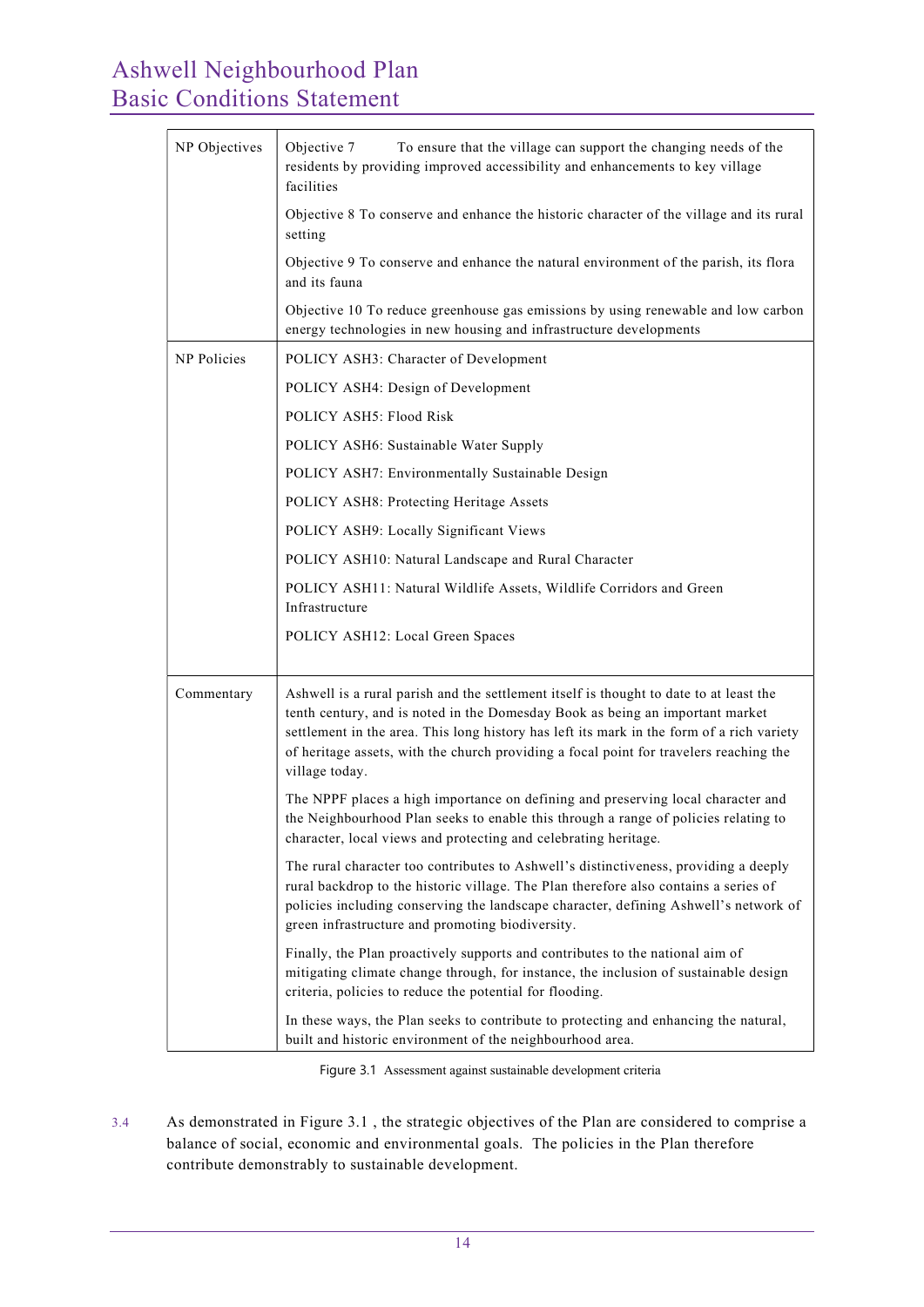| NP Objectives | To ensure that the village can support the changing needs of the<br>Objective 7<br>residents by providing improved accessibility and enhancements to key village<br>facilities                                                                                                                                                                                                   |  |  |  |
|---------------|----------------------------------------------------------------------------------------------------------------------------------------------------------------------------------------------------------------------------------------------------------------------------------------------------------------------------------------------------------------------------------|--|--|--|
|               | Objective 8 To conserve and enhance the historic character of the village and its rural<br>setting                                                                                                                                                                                                                                                                               |  |  |  |
|               | Objective 9 To conserve and enhance the natural environment of the parish, its flora<br>and its fauna                                                                                                                                                                                                                                                                            |  |  |  |
|               | Objective 10 To reduce greenhouse gas emissions by using renewable and low carbon<br>energy technologies in new housing and infrastructure developments                                                                                                                                                                                                                          |  |  |  |
| NP Policies   | POLICY ASH3: Character of Development                                                                                                                                                                                                                                                                                                                                            |  |  |  |
|               | POLICY ASH4: Design of Development                                                                                                                                                                                                                                                                                                                                               |  |  |  |
|               | POLICY ASH5: Flood Risk                                                                                                                                                                                                                                                                                                                                                          |  |  |  |
|               | POLICY ASH6: Sustainable Water Supply                                                                                                                                                                                                                                                                                                                                            |  |  |  |
|               | POLICY ASH7: Environmentally Sustainable Design                                                                                                                                                                                                                                                                                                                                  |  |  |  |
|               | POLICY ASH8: Protecting Heritage Assets                                                                                                                                                                                                                                                                                                                                          |  |  |  |
|               | POLICY ASH9: Locally Significant Views                                                                                                                                                                                                                                                                                                                                           |  |  |  |
|               | POLICY ASH10: Natural Landscape and Rural Character                                                                                                                                                                                                                                                                                                                              |  |  |  |
|               | POLICY ASH11: Natural Wildlife Assets, Wildlife Corridors and Green<br>Infrastructure                                                                                                                                                                                                                                                                                            |  |  |  |
|               | POLICY ASH12: Local Green Spaces                                                                                                                                                                                                                                                                                                                                                 |  |  |  |
| Commentary    | Ashwell is a rural parish and the settlement itself is thought to date to at least the<br>tenth century, and is noted in the Domesday Book as being an important market<br>settlement in the area. This long history has left its mark in the form of a rich variety<br>of heritage assets, with the church providing a focal point for travelers reaching the<br>village today. |  |  |  |
|               | The NPPF places a high importance on defining and preserving local character and<br>the Neighbourhood Plan seeks to enable this through a range of policies relating to<br>character, local views and protecting and celebrating heritage.                                                                                                                                       |  |  |  |
|               | The rural character too contributes to Ashwell's distinctiveness, providing a deeply<br>rural backdrop to the historic village. The Plan therefore also contains a series of<br>policies including conserving the landscape character, defining Ashwell's network of<br>green infrastructure and promoting biodiversity.                                                         |  |  |  |
|               | Finally, the Plan proactively supports and contributes to the national aim of<br>mitigating climate change through, for instance, the inclusion of sustainable design<br>criteria, policies to reduce the potential for flooding.                                                                                                                                                |  |  |  |
|               | In these ways, the Plan seeks to contribute to protecting and enhancing the natural,<br>built and historic environment of the neighbourhood area.                                                                                                                                                                                                                                |  |  |  |

Figure 3.1 Assessment against sustainable development criteria

3.4 As demonstrated in Figure 3.1 , the strategic objectives of the Plan are considered to comprise a balance of social, economic and environmental goals. The policies in the Plan therefore contribute demonstrably to sustainable development.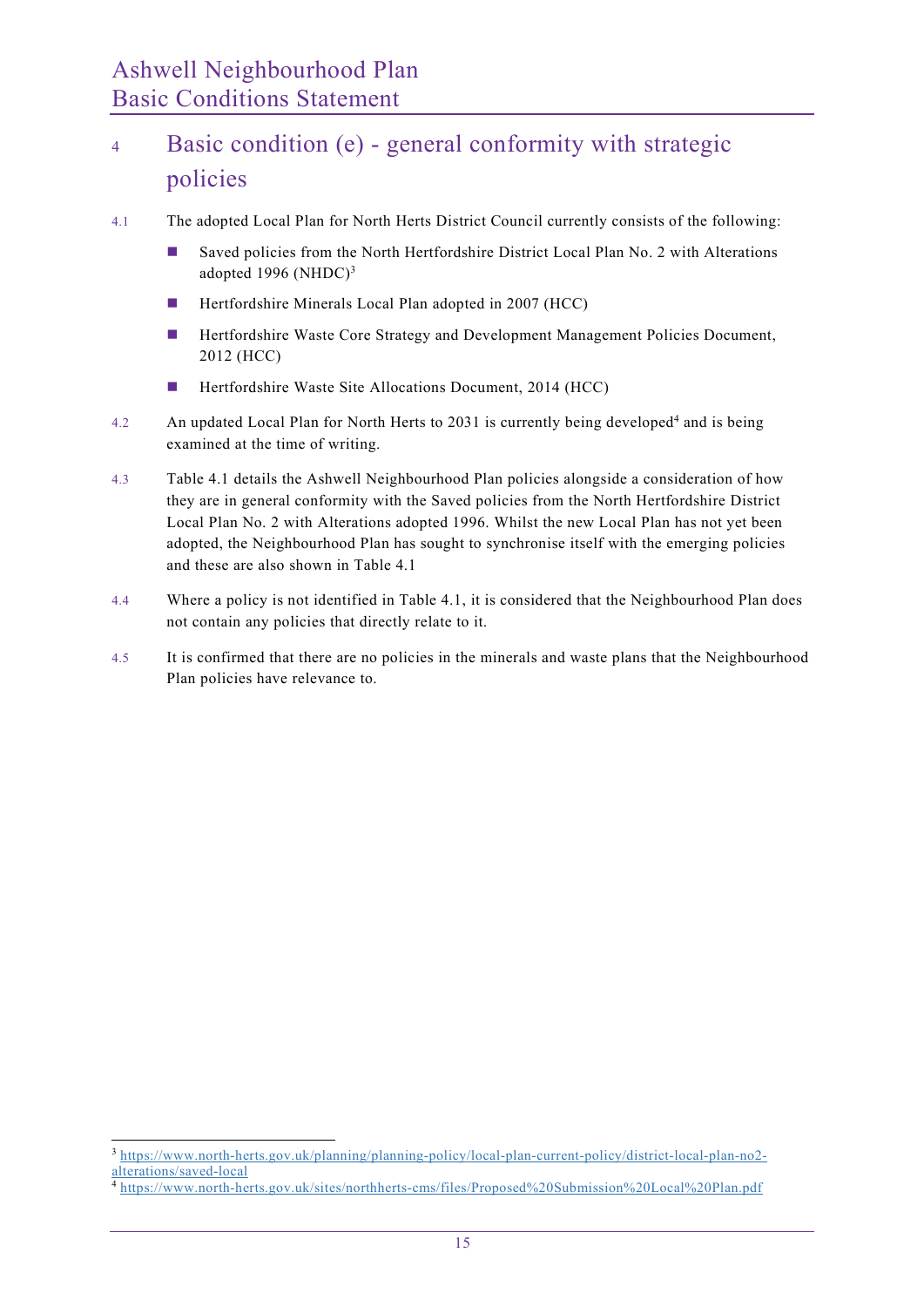## <sup>4</sup> Basic condition (e) - general conformity with strategic policies

- 4.1 The adopted Local Plan for North Herts District Council currently consists of the following:
	- Saved policies from the North Hertfordshire District Local Plan No. 2 with Alterations adopted 1996 (NHDC) $3$
	- **Hertfordshire Minerals Local Plan adopted in 2007 (HCC)**
	- **Hertfordshire Waste Core Strategy and Development Management Policies Document,** 2012 (HCC)
	- Hertfordshire Waste Site Allocations Document, 2014 (HCC)
- 4.2 An updated Local Plan for North Herts to 2031 is currently being developed<sup>4</sup> and is being examined at the time of writing.
- 4.3 Table 4.1 details the Ashwell Neighbourhood Plan policies alongside a consideration of how they are in general conformity with the Saved policies from the North Hertfordshire District Local Plan No. 2 with Alterations adopted 1996. Whilst the new Local Plan has not yet been adopted, the Neighbourhood Plan has sought to synchronise itself with the emerging policies and these are also shown in Table 4.1
- 4.4 Where a policy is not identified in Table 4.1, it is considered that the Neighbourhood Plan does not contain any policies that directly relate to it.
- 4.5 It is confirmed that there are no policies in the minerals and waste plans that the Neighbourhood Plan policies have relevance to.

<sup>3</sup> https://www.north-herts.gov.uk/planning/planning-policy/local-plan-current-policy/district-local-plan-no2 alterations/saved-local

<sup>4</sup> https://www.north-herts.gov.uk/sites/northherts-cms/files/Proposed%20Submission%20Local%20Plan.pdf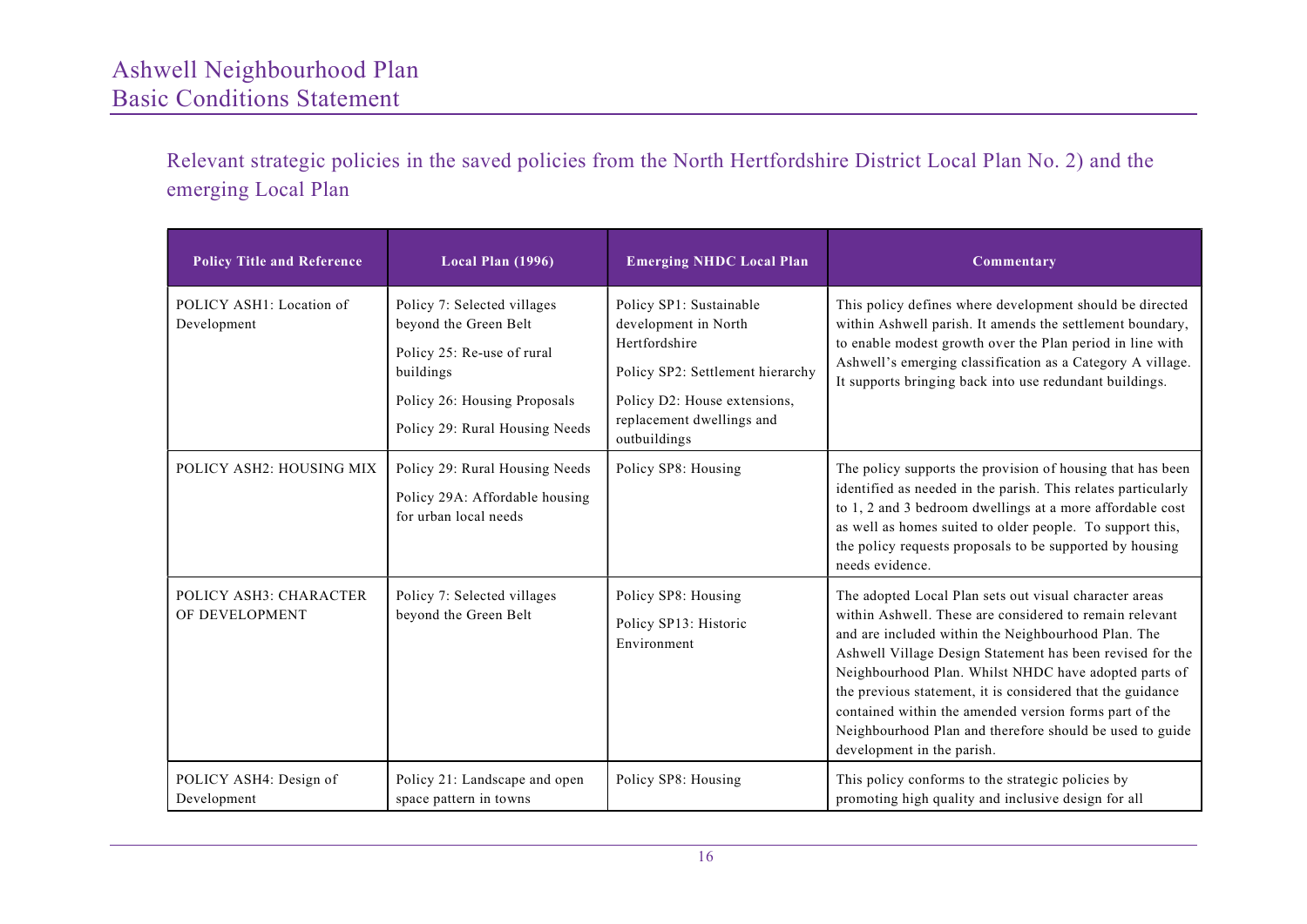Relevant strategic policies in the saved policies from the North Hertfordshire District Local Plan No. 2) and the emerging Local Plan

| <b>Policy Title and Reference</b>        | Local Plan (1996)                                                                                                                                                 | <b>Emerging NHDC Local Plan</b>                                                                                                                                                   | Commentary                                                                                                                                                                                                                                                                                                                                                                                                                                                                                                       |
|------------------------------------------|-------------------------------------------------------------------------------------------------------------------------------------------------------------------|-----------------------------------------------------------------------------------------------------------------------------------------------------------------------------------|------------------------------------------------------------------------------------------------------------------------------------------------------------------------------------------------------------------------------------------------------------------------------------------------------------------------------------------------------------------------------------------------------------------------------------------------------------------------------------------------------------------|
| POLICY ASH1: Location of<br>Development  | Policy 7: Selected villages<br>beyond the Green Belt<br>Policy 25: Re-use of rural<br>buildings<br>Policy 26: Housing Proposals<br>Policy 29: Rural Housing Needs | Policy SP1: Sustainable<br>development in North<br>Hertfordshire<br>Policy SP2: Settlement hierarchy<br>Policy D2: House extensions,<br>replacement dwellings and<br>outbuildings | This policy defines where development should be directed<br>within Ashwell parish. It amends the settlement boundary,<br>to enable modest growth over the Plan period in line with<br>Ashwell's emerging classification as a Category A village.<br>It supports bringing back into use redundant buildings.                                                                                                                                                                                                      |
| POLICY ASH2: HOUSING MIX                 | Policy 29: Rural Housing Needs<br>Policy 29A: Affordable housing<br>for urban local needs                                                                         | Policy SP8: Housing                                                                                                                                                               | The policy supports the provision of housing that has been<br>identified as needed in the parish. This relates particularly<br>to 1, 2 and 3 bedroom dwellings at a more affordable cost<br>as well as homes suited to older people. To support this,<br>the policy requests proposals to be supported by housing<br>needs evidence.                                                                                                                                                                             |
| POLICY ASH3: CHARACTER<br>OF DEVELOPMENT | Policy 7: Selected villages<br>beyond the Green Belt                                                                                                              | Policy SP8: Housing<br>Policy SP13: Historic<br>Environment                                                                                                                       | The adopted Local Plan sets out visual character areas<br>within Ashwell. These are considered to remain relevant<br>and are included within the Neighbourhood Plan. The<br>Ashwell Village Design Statement has been revised for the<br>Neighbourhood Plan. Whilst NHDC have adopted parts of<br>the previous statement, it is considered that the guidance<br>contained within the amended version forms part of the<br>Neighbourhood Plan and therefore should be used to guide<br>development in the parish. |
| POLICY ASH4: Design of<br>Development    | Policy 21: Landscape and open<br>space pattern in towns                                                                                                           | Policy SP8: Housing                                                                                                                                                               | This policy conforms to the strategic policies by<br>promoting high quality and inclusive design for all                                                                                                                                                                                                                                                                                                                                                                                                         |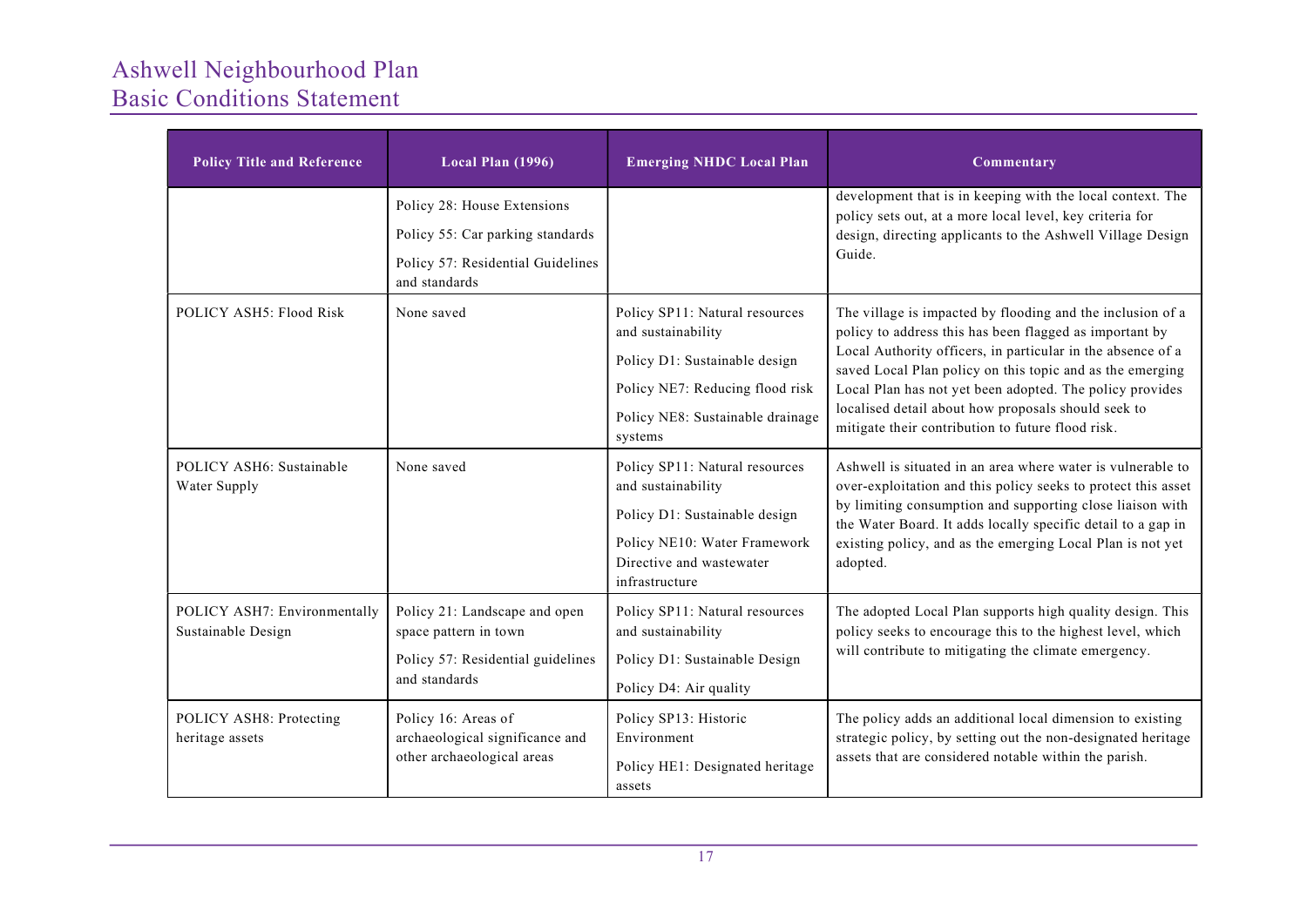| <b>Policy Title and Reference</b>                  | Local Plan (1996)                                                                                                     | <b>Emerging NHDC Local Plan</b>                                                                                                                                         | Commentary                                                                                                                                                                                                                                                                                                                                                                                                                |
|----------------------------------------------------|-----------------------------------------------------------------------------------------------------------------------|-------------------------------------------------------------------------------------------------------------------------------------------------------------------------|---------------------------------------------------------------------------------------------------------------------------------------------------------------------------------------------------------------------------------------------------------------------------------------------------------------------------------------------------------------------------------------------------------------------------|
|                                                    | Policy 28: House Extensions<br>Policy 55: Car parking standards<br>Policy 57: Residential Guidelines<br>and standards |                                                                                                                                                                         | development that is in keeping with the local context. The<br>policy sets out, at a more local level, key criteria for<br>design, directing applicants to the Ashwell Village Design<br>Guide.                                                                                                                                                                                                                            |
| POLICY ASH5: Flood Risk                            | None saved                                                                                                            | Policy SP11: Natural resources<br>and sustainability<br>Policy D1: Sustainable design<br>Policy NE7: Reducing flood risk<br>Policy NE8: Sustainable drainage<br>systems | The village is impacted by flooding and the inclusion of a<br>policy to address this has been flagged as important by<br>Local Authority officers, in particular in the absence of a<br>saved Local Plan policy on this topic and as the emerging<br>Local Plan has not yet been adopted. The policy provides<br>localised detail about how proposals should seek to<br>mitigate their contribution to future flood risk. |
| POLICY ASH6: Sustainable<br>Water Supply           | None saved                                                                                                            | Policy SP11: Natural resources<br>and sustainability<br>Policy D1: Sustainable design<br>Policy NE10: Water Framework<br>Directive and wastewater<br>infrastructure     | Ashwell is situated in an area where water is vulnerable to<br>over-exploitation and this policy seeks to protect this asset<br>by limiting consumption and supporting close liaison with<br>the Water Board. It adds locally specific detail to a gap in<br>existing policy, and as the emerging Local Plan is not yet<br>adopted.                                                                                       |
| POLICY ASH7: Environmentally<br>Sustainable Design | Policy 21: Landscape and open<br>space pattern in town<br>Policy 57: Residential guidelines<br>and standards          | Policy SP11: Natural resources<br>and sustainability<br>Policy D1: Sustainable Design<br>Policy D4: Air quality                                                         | The adopted Local Plan supports high quality design. This<br>policy seeks to encourage this to the highest level, which<br>will contribute to mitigating the climate emergency.                                                                                                                                                                                                                                           |
| POLICY ASH8: Protecting<br>heritage assets         | Policy 16: Areas of<br>archaeological significance and<br>other archaeological areas                                  | Policy SP13: Historic<br>Environment<br>Policy HE1: Designated heritage<br>assets                                                                                       | The policy adds an additional local dimension to existing<br>strategic policy, by setting out the non-designated heritage<br>assets that are considered notable within the parish.                                                                                                                                                                                                                                        |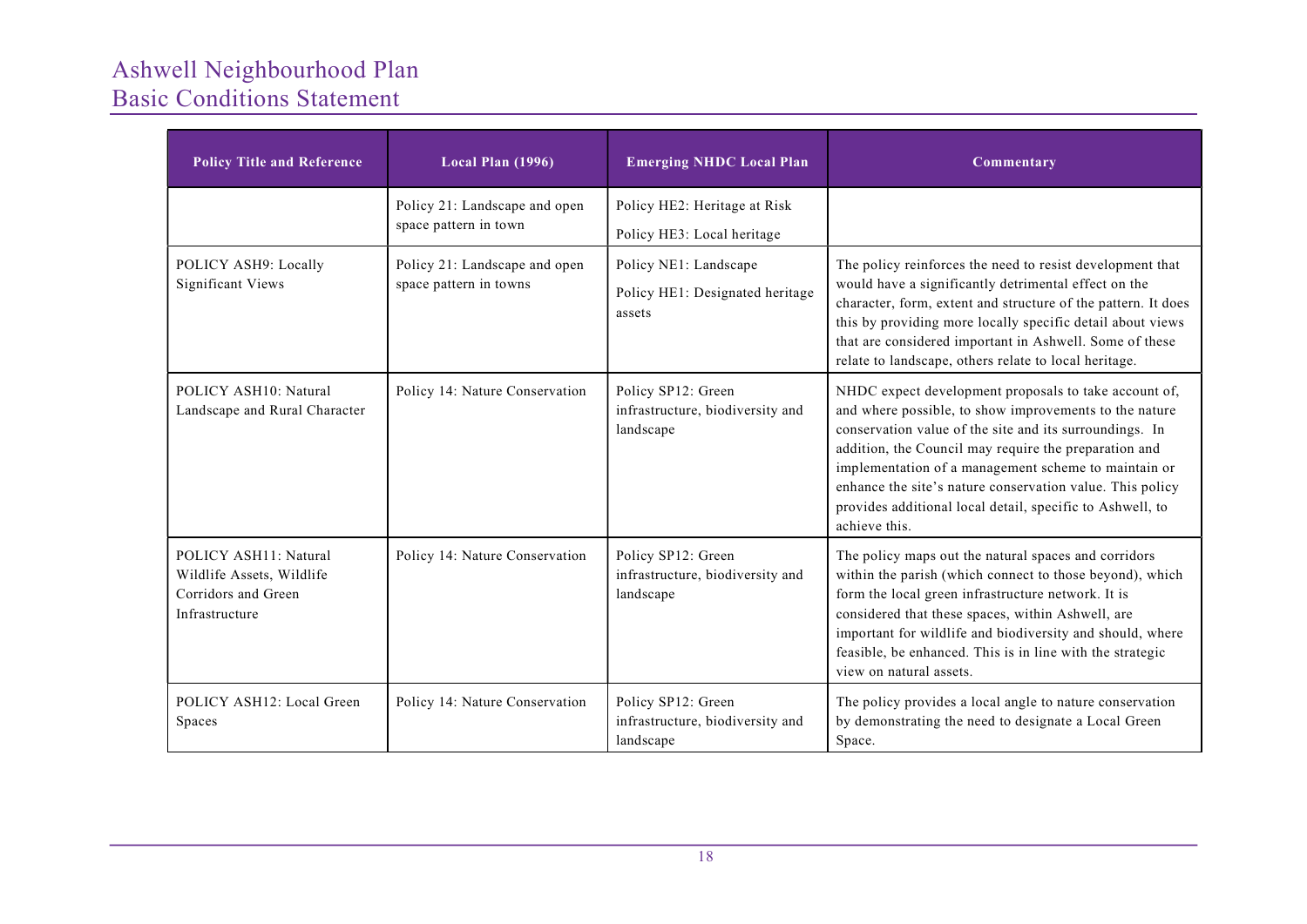| <b>Policy Title and Reference</b>                                                           | Local Plan (1996)                                       | <b>Emerging NHDC Local Plan</b>                                     | Commentary                                                                                                                                                                                                                                                                                                                                                                                                                             |
|---------------------------------------------------------------------------------------------|---------------------------------------------------------|---------------------------------------------------------------------|----------------------------------------------------------------------------------------------------------------------------------------------------------------------------------------------------------------------------------------------------------------------------------------------------------------------------------------------------------------------------------------------------------------------------------------|
|                                                                                             | Policy 21: Landscape and open<br>space pattern in town  | Policy HE2: Heritage at Risk<br>Policy HE3: Local heritage          |                                                                                                                                                                                                                                                                                                                                                                                                                                        |
| POLICY ASH9: Locally<br><b>Significant Views</b>                                            | Policy 21: Landscape and open<br>space pattern in towns | Policy NE1: Landscape<br>Policy HE1: Designated heritage<br>assets  | The policy reinforces the need to resist development that<br>would have a significantly detrimental effect on the<br>character, form, extent and structure of the pattern. It does<br>this by providing more locally specific detail about views<br>that are considered important in Ashwell. Some of these<br>relate to landscape, others relate to local heritage.                                                                   |
| POLICY ASH10: Natural<br>Landscape and Rural Character                                      | Policy 14: Nature Conservation                          | Policy SP12: Green<br>infrastructure, biodiversity and<br>landscape | NHDC expect development proposals to take account of,<br>and where possible, to show improvements to the nature<br>conservation value of the site and its surroundings. In<br>addition, the Council may require the preparation and<br>implementation of a management scheme to maintain or<br>enhance the site's nature conservation value. This policy<br>provides additional local detail, specific to Ashwell, to<br>achieve this. |
| POLICY ASH11: Natural<br>Wildlife Assets, Wildlife<br>Corridors and Green<br>Infrastructure | Policy 14: Nature Conservation                          | Policy SP12: Green<br>infrastructure, biodiversity and<br>landscape | The policy maps out the natural spaces and corridors<br>within the parish (which connect to those beyond), which<br>form the local green infrastructure network. It is<br>considered that these spaces, within Ashwell, are<br>important for wildlife and biodiversity and should, where<br>feasible, be enhanced. This is in line with the strategic<br>view on natural assets.                                                       |
| POLICY ASH12: Local Green<br>Spaces                                                         | Policy 14: Nature Conservation                          | Policy SP12: Green<br>infrastructure, biodiversity and<br>landscape | The policy provides a local angle to nature conservation<br>by demonstrating the need to designate a Local Green<br>Space.                                                                                                                                                                                                                                                                                                             |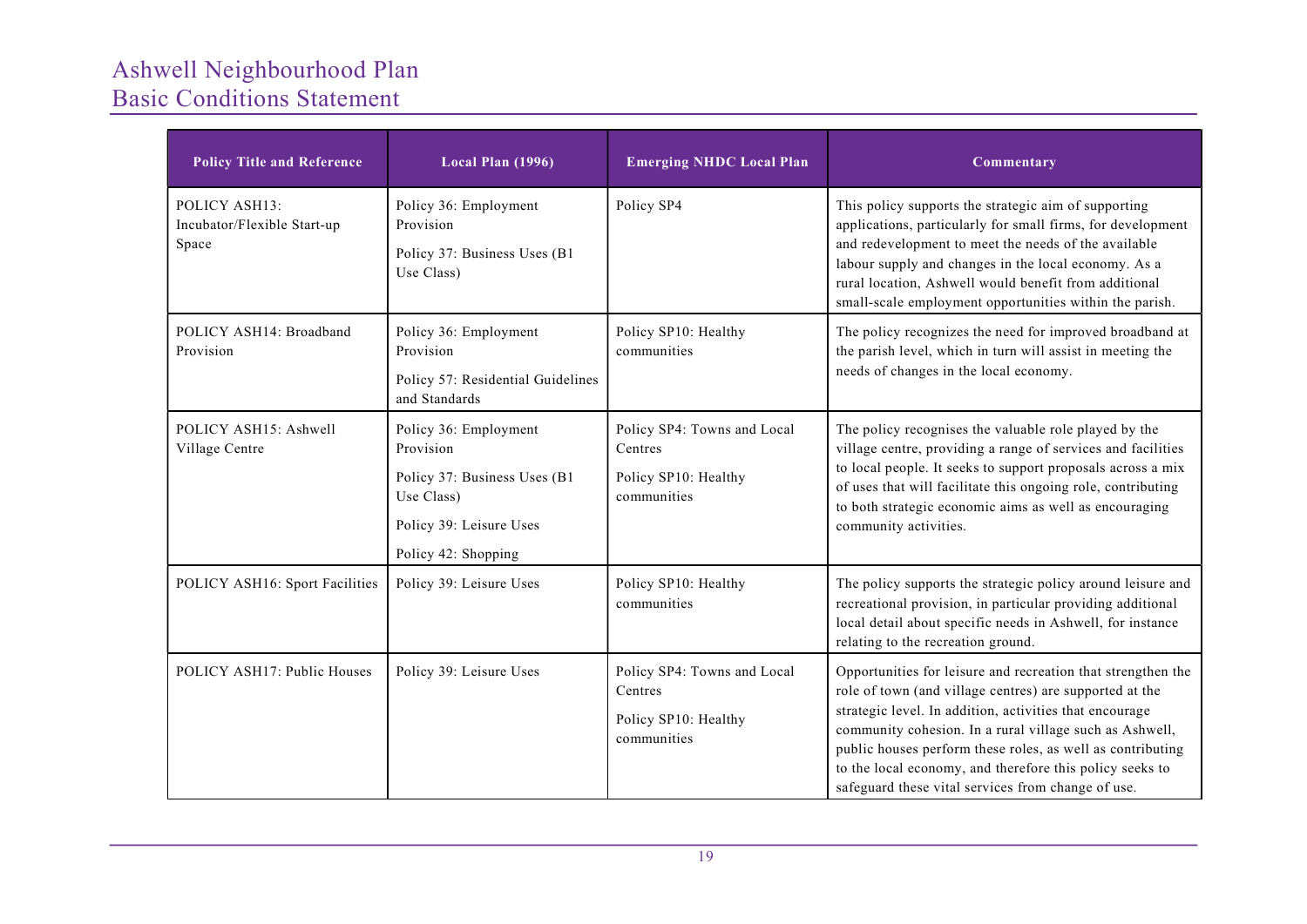| <b>Policy Title and Reference</b>                     | Local Plan (1996)                                                                                                                  | <b>Emerging NHDC Local Plan</b>                                               | Commentary                                                                                                                                                                                                                                                                                                                                                                                                                    |
|-------------------------------------------------------|------------------------------------------------------------------------------------------------------------------------------------|-------------------------------------------------------------------------------|-------------------------------------------------------------------------------------------------------------------------------------------------------------------------------------------------------------------------------------------------------------------------------------------------------------------------------------------------------------------------------------------------------------------------------|
| POLICY ASH13:<br>Incubator/Flexible Start-up<br>Space | Policy 36: Employment<br>Provision<br>Policy 37: Business Uses (B1<br>Use Class)                                                   | Policy SP4                                                                    | This policy supports the strategic aim of supporting<br>applications, particularly for small firms, for development<br>and redevelopment to meet the needs of the available<br>labour supply and changes in the local economy. As a<br>rural location, Ashwell would benefit from additional<br>small-scale employment opportunities within the parish.                                                                       |
| POLICY ASH14: Broadband<br>Provision                  | Policy 36: Employment<br>Provision<br>Policy 57: Residential Guidelines<br>and Standards                                           | Policy SP10: Healthy<br>communities                                           | The policy recognizes the need for improved broadband at<br>the parish level, which in turn will assist in meeting the<br>needs of changes in the local economy.                                                                                                                                                                                                                                                              |
| POLICY ASH15: Ashwell<br>Village Centre               | Policy 36: Employment<br>Provision<br>Policy 37: Business Uses (B1<br>Use Class)<br>Policy 39: Leisure Uses<br>Policy 42: Shopping | Policy SP4: Towns and Local<br>Centres<br>Policy SP10: Healthy<br>communities | The policy recognises the valuable role played by the<br>village centre, providing a range of services and facilities<br>to local people. It seeks to support proposals across a mix<br>of uses that will facilitate this ongoing role, contributing<br>to both strategic economic aims as well as encouraging<br>community activities.                                                                                       |
| POLICY ASH16: Sport Facilities                        | Policy 39: Leisure Uses                                                                                                            | Policy SP10: Healthy<br>communities                                           | The policy supports the strategic policy around leisure and<br>recreational provision, in particular providing additional<br>local detail about specific needs in Ashwell, for instance<br>relating to the recreation ground.                                                                                                                                                                                                 |
| POLICY ASH17: Public Houses                           | Policy 39: Leisure Uses                                                                                                            | Policy SP4: Towns and Local<br>Centres<br>Policy SP10: Healthy<br>communities | Opportunities for leisure and recreation that strengthen the<br>role of town (and village centres) are supported at the<br>strategic level. In addition, activities that encourage<br>community cohesion. In a rural village such as Ashwell,<br>public houses perform these roles, as well as contributing<br>to the local economy, and therefore this policy seeks to<br>safeguard these vital services from change of use. |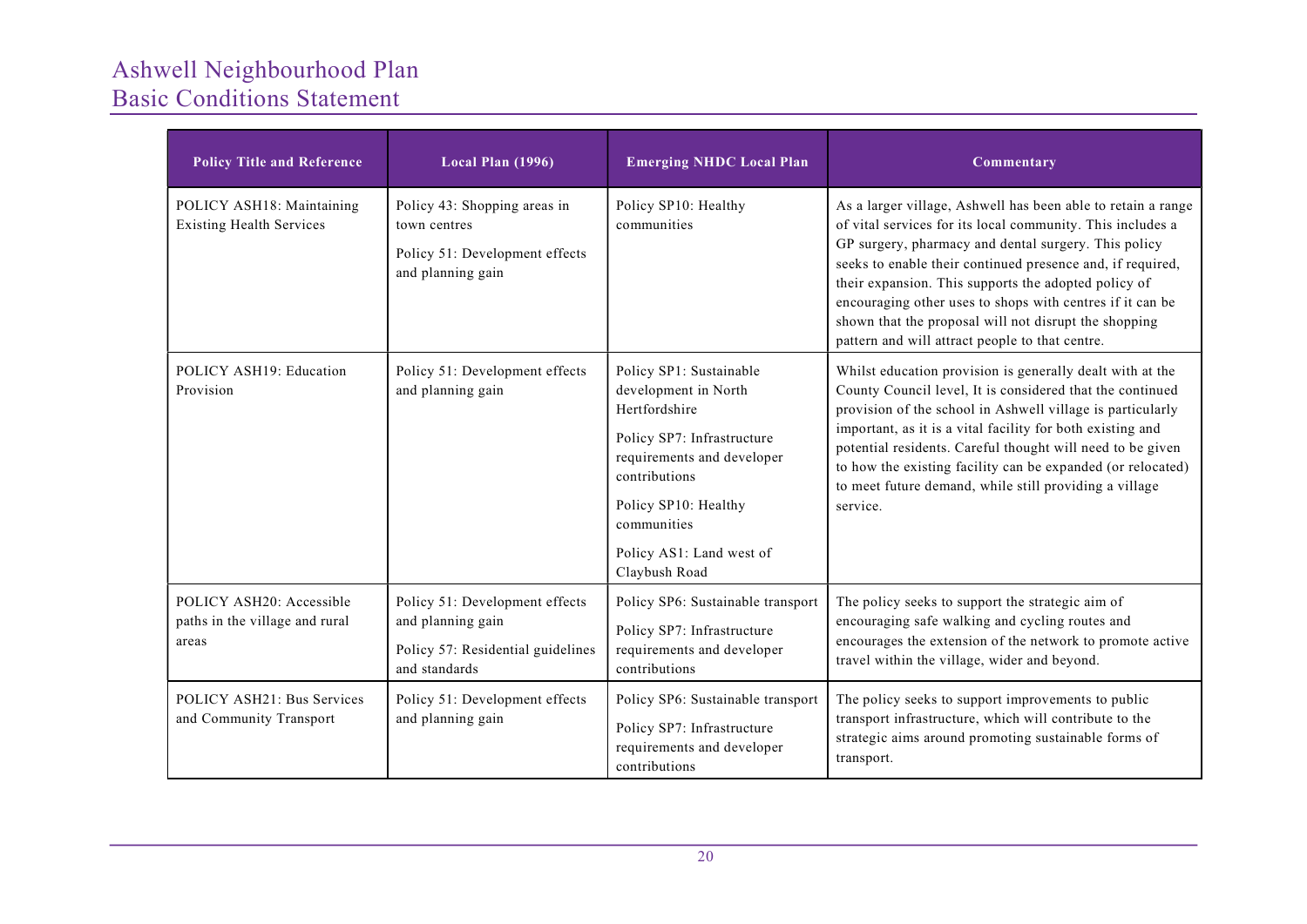| <b>Policy Title and Reference</b>                                   | Local Plan (1996)                                                                                         | <b>Emerging NHDC Local Plan</b>                                                                                                                                                                                                   | Commentary                                                                                                                                                                                                                                                                                                                                                                                                                                                                        |
|---------------------------------------------------------------------|-----------------------------------------------------------------------------------------------------------|-----------------------------------------------------------------------------------------------------------------------------------------------------------------------------------------------------------------------------------|-----------------------------------------------------------------------------------------------------------------------------------------------------------------------------------------------------------------------------------------------------------------------------------------------------------------------------------------------------------------------------------------------------------------------------------------------------------------------------------|
| POLICY ASH18: Maintaining<br><b>Existing Health Services</b>        | Policy 43: Shopping areas in<br>town centres<br>Policy 51: Development effects<br>and planning gain       | Policy SP10: Healthy<br>communities                                                                                                                                                                                               | As a larger village, Ashwell has been able to retain a range<br>of vital services for its local community. This includes a<br>GP surgery, pharmacy and dental surgery. This policy<br>seeks to enable their continued presence and, if required,<br>their expansion. This supports the adopted policy of<br>encouraging other uses to shops with centres if it can be<br>shown that the proposal will not disrupt the shopping<br>pattern and will attract people to that centre. |
| POLICY ASH19: Education<br>Provision                                | Policy 51: Development effects<br>and planning gain                                                       | Policy SP1: Sustainable<br>development in North<br>Hertfordshire<br>Policy SP7: Infrastructure<br>requirements and developer<br>contributions<br>Policy SP10: Healthy<br>communities<br>Policy AS1: Land west of<br>Claybush Road | Whilst education provision is generally dealt with at the<br>County Council level, It is considered that the continued<br>provision of the school in Ashwell village is particularly<br>important, as it is a vital facility for both existing and<br>potential residents. Careful thought will need to be given<br>to how the existing facility can be expanded (or relocated)<br>to meet future demand, while still providing a village<br>service.                             |
| POLICY ASH20: Accessible<br>paths in the village and rural<br>areas | Policy 51: Development effects<br>and planning gain<br>Policy 57: Residential guidelines<br>and standards | Policy SP6: Sustainable transport<br>Policy SP7: Infrastructure<br>requirements and developer<br>contributions                                                                                                                    | The policy seeks to support the strategic aim of<br>encouraging safe walking and cycling routes and<br>encourages the extension of the network to promote active<br>travel within the village, wider and beyond.                                                                                                                                                                                                                                                                  |
| POLICY ASH21: Bus Services<br>and Community Transport               | Policy 51: Development effects<br>and planning gain                                                       | Policy SP6: Sustainable transport<br>Policy SP7: Infrastructure<br>requirements and developer<br>contributions                                                                                                                    | The policy seeks to support improvements to public<br>transport infrastructure, which will contribute to the<br>strategic aims around promoting sustainable forms of<br>transport.                                                                                                                                                                                                                                                                                                |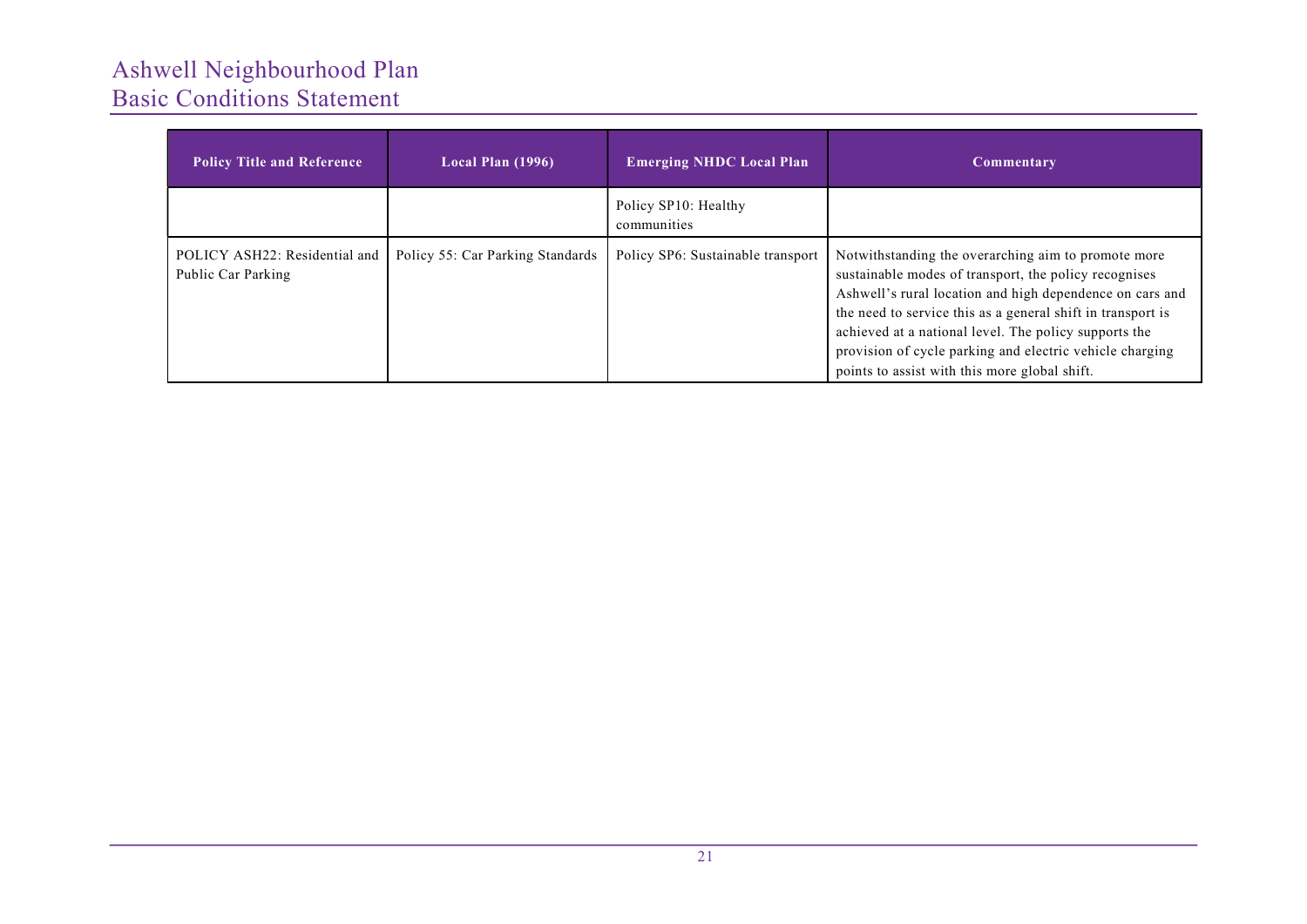| <b>Policy Title and Reference</b>                   | Local Plan (1996)                | <b>Emerging NHDC Local Plan</b>     | Commentary                                                                                                                                                                                                                                                                                                                                                                                                    |
|-----------------------------------------------------|----------------------------------|-------------------------------------|---------------------------------------------------------------------------------------------------------------------------------------------------------------------------------------------------------------------------------------------------------------------------------------------------------------------------------------------------------------------------------------------------------------|
|                                                     |                                  | Policy SP10: Healthy<br>communities |                                                                                                                                                                                                                                                                                                                                                                                                               |
| POLICY ASH22: Residential and<br>Public Car Parking | Policy 55: Car Parking Standards | Policy SP6: Sustainable transport   | Notwithstanding the overarching aim to promote more<br>sustainable modes of transport, the policy recognises<br>Ashwell's rural location and high dependence on cars and<br>the need to service this as a general shift in transport is<br>achieved at a national level. The policy supports the<br>provision of cycle parking and electric vehicle charging<br>points to assist with this more global shift. |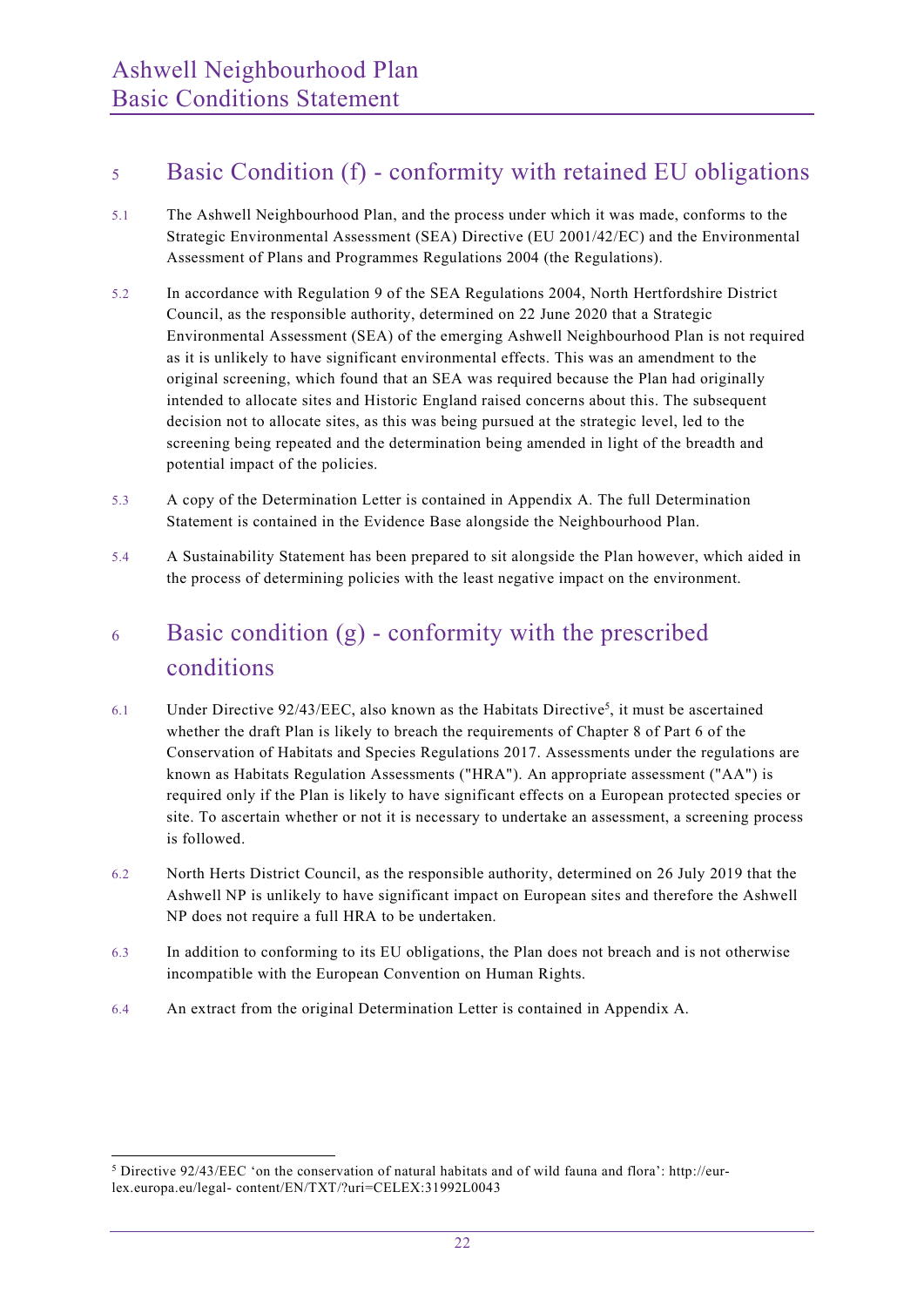### <sup>5</sup> Basic Condition (f) - conformity with retained EU obligations

- 5.1 The Ashwell Neighbourhood Plan, and the process under which it was made, conforms to the Strategic Environmental Assessment (SEA) Directive (EU 2001/42/EC) and the Environmental Assessment of Plans and Programmes Regulations 2004 (the Regulations).
- 5.2 In accordance with Regulation 9 of the SEA Regulations 2004, North Hertfordshire District Council, as the responsible authority, determined on 22 June 2020 that a Strategic Environmental Assessment (SEA) of the emerging Ashwell Neighbourhood Plan is not required as it is unlikely to have significant environmental effects. This was an amendment to the original screening, which found that an SEA was required because the Plan had originally intended to allocate sites and Historic England raised concerns about this. The subsequent decision not to allocate sites, as this was being pursued at the strategic level, led to the screening being repeated and the determination being amended in light of the breadth and potential impact of the policies.
- 5.3 A copy of the Determination Letter is contained in Appendix A. The full Determination Statement is contained in the Evidence Base alongside the Neighbourhood Plan.
- 5.4 A Sustainability Statement has been prepared to sit alongside the Plan however, which aided in the process of determining policies with the least negative impact on the environment.

## <sup>6</sup> Basic condition (g) - conformity with the prescribed conditions

- 6.1 Under Directive  $92/43/EEC$ , also known as the Habitats Directive<sup>5</sup>, it must be ascertained whether the draft Plan is likely to breach the requirements of Chapter 8 of Part 6 of the Conservation of Habitats and Species Regulations 2017. Assessments under the regulations are known as Habitats Regulation Assessments ("HRA"). An appropriate assessment ("AA") is required only if the Plan is likely to have significant effects on a European protected species or site. To ascertain whether or not it is necessary to undertake an assessment, a screening process is followed.
- 6.2 North Herts District Council, as the responsible authority, determined on 26 July 2019 that the Ashwell NP is unlikely to have significant impact on European sites and therefore the Ashwell NP does not require a full HRA to be undertaken.
- 6.3 In addition to conforming to its EU obligations, the Plan does not breach and is not otherwise incompatible with the European Convention on Human Rights.
- 6.4 An extract from the original Determination Letter is contained in Appendix A.

<sup>&</sup>lt;sup>5</sup> Directive 92/43/EEC 'on the conservation of natural habitats and of wild fauna and flora': http://eurlex.europa.eu/legal- content/EN/TXT/?uri=CELEX:31992L0043